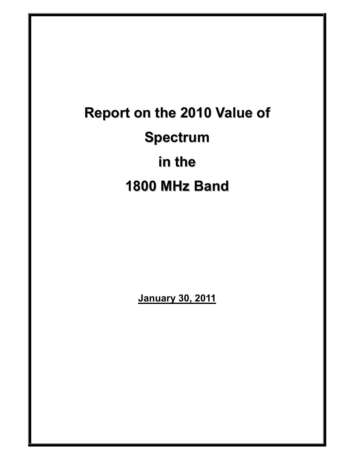# **Report on the 2010 Value of Spectrum in the 1800 MHz Band**

**January 30, 2011**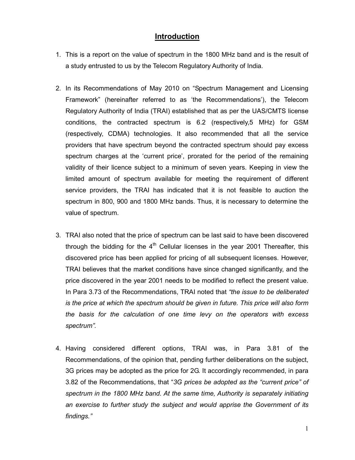## **Introduction**

- 1. This is a report on the value of spectrum in the 1800 MHz band and is the result of a study entrusted to us by the Telecom Regulatory Authority of India.
- 2. In its Recommendations of May 2010 on "Spectrum Management and Licensing Framework" (hereinafter referred to as 'the Recommendations'), the Telecom Regulatory Authority of India (TRAI) established that as per the UAS/CMTS license conditions, the contracted spectrum is 6.2 (respectively,5 MHz) for GSM (respectively, CDMA) technologies. It also recommended that all the service providers that have spectrum beyond the contracted spectrum should pay excess spectrum charges at the 'current price', prorated for the period of the remaining validity of their licence subject to a minimum of seven years. Keeping in view the limited amount of spectrum available for meeting the requirement of different service providers, the TRAI has indicated that it is not feasible to auction the spectrum in 800, 900 and 1800 MHz bands. Thus, it is necessary to determine the value of spectrum.
- 3. TRAI also noted that the price of spectrum can be last said to have been discovered through the bidding for the  $4<sup>th</sup>$  Cellular licenses in the year 2001 Thereafter, this discovered price has been applied for pricing of all subsequent licenses. However, TRAI believes that the market conditions have since changed significantly, and the price discovered in the year 2001 needs to be modified to reflect the present value. In Para 3.73 of the Recommendations, TRAI noted that *"the issue to be deliberated is the price at which the spectrum should be given in future. This price will also form the basis for the calculation of one time levy on the operators with excess spectrum".*
- 4. Having considered different options, TRAI was, in Para 3.81 of the Recommendations, of the opinion that, pending further deliberations on the subject, 3G prices may be adopted as the price for 2G. It accordingly recommended, in para 3.82 of the Recommendations, that "*3G prices be adopted as the "current price" of spectrum in the 1800 MHz band. At the same time, Authority is separately initiating an exercise to further study the subject and would apprise the Government of its findings."*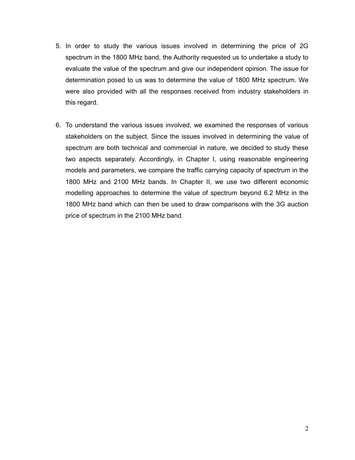- 5. In order to study the various issues involved in determining the price of 2G spectrum in the 1800 MHz band, the Authority requested us to undertake a study to evaluate the value of the spectrum and give our independent opinion. The issue for determination posed to us was to determine the value of 1800 MHz spectrum. We were also provided with all the responses received from industry stakeholders in this regard.
- 6. To understand the various issues involved, we examined the responses of various stakeholders on the subject. Since the issues involved in determining the value of spectrum are both technical and commercial in nature, we decided to study these two aspects separately. Accordingly, in Chapter I, using reasonable engineering models and parameters, we compare the traffic carrying capacity of spectrum in the 1800 MHz and 2100 MHz bands. In Chapter II, we use two different economic modelling approaches to determine the value of spectrum beyond 6.2 MHz in the 1800 MHz band which can then be used to draw comparisons with the 3G auction price of spectrum in the 2100 MHz band.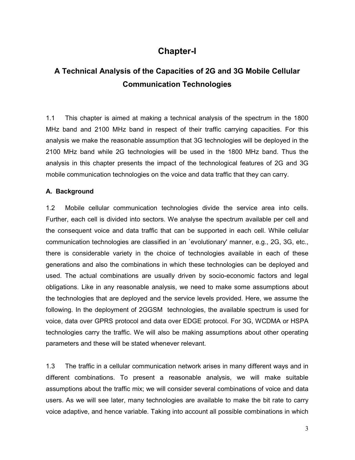# **Chapter-I**

# **A Technical Analysis of the Capacities of 2G and 3G Mobile Cellular Communication Technologies**

1.1 This chapter is aimed at making a technical analysis of the spectrum in the 1800 MHz band and 2100 MHz band in respect of their traffic carrying capacities. For this analysis we make the reasonable assumption that 3G technologies will be deployed in the 2100 MHz band while 2G technologies will be used in the 1800 MHz band. Thus the analysis in this chapter presents the impact of the technological features of 2G and 3G mobile communication technologies on the voice and data traffic that they can carry.

# **A. Background**

1.2 Mobile cellular communication technologies divide the service area into cells. Further, each cell is divided into sectors. We analyse the spectrum available per cell and the consequent voice and data traffic that can be supported in each cell. While cellular communication technologies are classified in an `evolutionary' manner, e.g., 2G, 3G, etc., there is considerable variety in the choice of technologies available in each of these generations and also the combinations in which these technologies can be deployed and used. The actual combinations are usually driven by socio-economic factors and legal obligations. Like in any reasonable analysis, we need to make some assumptions about the technologies that are deployed and the service levels provided. Here, we assume the following. In the deployment of 2GGSM technologies, the available spectrum is used for voice, data over GPRS protocol and data over EDGE protocol. For 3G, WCDMA or HSPA technologies carry the traffic. We will also be making assumptions about other operating parameters and these will be stated whenever relevant.

1.3 The traffic in a cellular communication network arises in many different ways and in different combinations. To present a reasonable analysis, we will make suitable assumptions about the traffic mix; we will consider several combinations of voice and data users. As we will see later, many technologies are available to make the bit rate to carry voice adaptive, and hence variable. Taking into account all possible combinations in which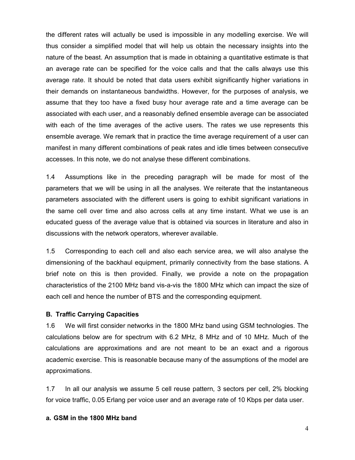the different rates will actually be used is impossible in any modelling exercise. We will thus consider a simplified model that will help us obtain the necessary insights into the nature of the beast. An assumption that is made in obtaining a quantitative estimate is that an average rate can be specified for the voice calls and that the calls always use this average rate. It should be noted that data users exhibit significantly higher variations in their demands on instantaneous bandwidths. However, for the purposes of analysis, we assume that they too have a fixed busy hour average rate and a time average can be associated with each user, and a reasonably defined ensemble average can be associated with each of the time averages of the active users. The rates we use represents this ensemble average. We remark that in practice the time average requirement of a user can manifest in many different combinations of peak rates and idle times between consecutive accesses. In this note, we do not analyse these different combinations.

1.4 Assumptions like in the preceding paragraph will be made for most of the parameters that we will be using in all the analyses. We reiterate that the instantaneous parameters associated with the different users is going to exhibit significant variations in the same cell over time and also across cells at any time instant. What we use is an educated guess of the average value that is obtained via sources in literature and also in discussions with the network operators, wherever available.

1.5 Corresponding to each cell and also each service area, we will also analyse the dimensioning of the backhaul equipment, primarily connectivity from the base stations. A brief note on this is then provided. Finally, we provide a note on the propagation characteristics of the 2100 MHz band vis-a-vis the 1800 MHz which can impact the size of each cell and hence the number of BTS and the corresponding equipment.

## **B. Traffic Carrying Capacities**

1.6 We will first consider networks in the 1800 MHz band using GSM technologies. The calculations below are for spectrum with 6.2 MHz, 8 MHz and of 10 MHz. Much of the calculations are approximations and are not meant to be an exact and a rigorous academic exercise. This is reasonable because many of the assumptions of the model are approximations.

1.7 In all our analysis we assume 5 cell reuse pattern, 3 sectors per cell, 2% blocking for voice traffic, 0.05 Erlang per voice user and an average rate of 10 Kbps per data user.

#### **a. GSM in the 1800 MHz band**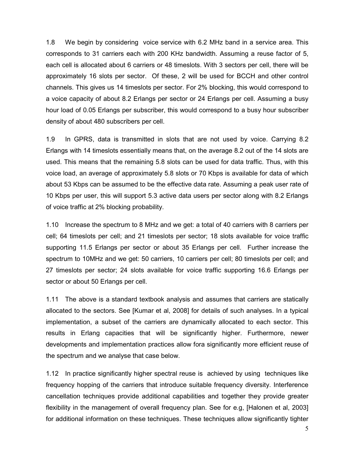1.8 We begin by considering voice service with 6.2 MHz band in a service area. This corresponds to 31 carriers each with 200 KHz bandwidth. Assuming a reuse factor of 5, each cell is allocated about 6 carriers or 48 timeslots. With 3 sectors per cell, there will be approximately 16 slots per sector. Of these, 2 will be used for BCCH and other control channels. This gives us 14 timeslots per sector. For 2% blocking, this would correspond to a voice capacity of about 8.2 Erlangs per sector or 24 Erlangs per cell. Assuming a busy hour load of 0.05 Erlangs per subscriber, this would correspond to a busy hour subscriber density of about 480 subscribers per cell.

1.9 In GPRS, data is transmitted in slots that are not used by voice. Carrying 8.2 Erlangs with 14 timeslots essentially means that, on the average 8.2 out of the 14 slots are used. This means that the remaining 5.8 slots can be used for data traffic. Thus, with this voice load, an average of approximately 5.8 slots or 70 Kbps is available for data of which about 53 Kbps can be assumed to be the effective data rate. Assuming a peak user rate of 10 Kbps per user, this will support 5.3 active data users per sector along with 8.2 Erlangs of voice traffic at 2% blocking probability.

1.10 Increase the spectrum to 8 MHz and we get: a total of 40 carriers with 8 carriers per cell; 64 timeslots per cell; and 21 timeslots per sector; 18 slots available for voice traffic supporting 11.5 Erlangs per sector or about 35 Erlangs per cell. Further increase the spectrum to 10MHz and we get: 50 carriers, 10 carriers per cell; 80 timeslots per cell; and 27 timeslots per sector; 24 slots available for voice traffic supporting 16.6 Erlangs per sector or about 50 Erlangs per cell.

1.11 The above is a standard textbook analysis and assumes that carriers are statically allocated to the sectors. See [Kumar et al, 2008] for details of such analyses. In a typical implementation, a subset of the carriers are dynamically allocated to each sector. This results in Erlang capacities that will be significantly higher. Furthermore, newer developments and implementation practices allow fora significantly more efficient reuse of the spectrum and we analyse that case below.

1.12 In practice significantly higher spectral reuse is achieved by using techniques like frequency hopping of the carriers that introduce suitable frequency diversity. Interference cancellation techniques provide additional capabilities and together they provide greater flexibility in the management of overall frequency plan. See for e.g, [Halonen et al, 2003] for additional information on these techniques. These techniques allow significantly tighter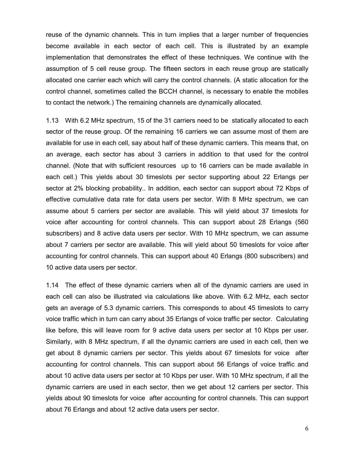reuse of the dynamic channels. This in turn implies that a larger number of frequencies become available in each sector of each cell. This is illustrated by an example implementation that demonstrates the effect of these techniques. We continue with the assumption of 5 cell reuse group. The fifteen sectors in each reuse group are statically allocated one carrier each which will carry the control channels. (A static allocation for the control channel, sometimes called the BCCH channel, is necessary to enable the mobiles to contact the network.) The remaining channels are dynamically allocated.

1.13 With 6.2 MHz spectrum, 15 of the 31 carriers need to be statically allocated to each sector of the reuse group. Of the remaining 16 carriers we can assume most of them are available for use in each cell, say about half of these dynamic carriers. This means that, on an average, each sector has about 3 carriers in addition to that used for the control channel. (Note that with sufficient resources up to 16 carriers can be made available in each cell.) This yields about 30 timeslots per sector supporting about 22 Erlangs per sector at 2% blocking probability.. In addition, each sector can support about 72 Kbps of effective cumulative data rate for data users per sector. With 8 MHz spectrum, we can assume about 5 carriers per sector are available. This will yield about 37 timeslots for voice after accounting for control channels. This can support about 28 Erlangs (560 subscribers) and 8 active data users per sector. With 10 MHz spectrum, we can assume about 7 carriers per sector are available. This will yield about 50 timeslots for voice after accounting for control channels. This can support about 40 Erlangs (800 subscribers) and 10 active data users per sector.

1.14 The effect of these dynamic carriers when all of the dynamic carriers are used in each cell can also be illustrated via calculations like above. With 6.2 MHz, each sector gets an average of 5.3 dynamic carriers. This corresponds to about 45 timeslots to carry voice traffic which in turn can carry about 35 Erlangs of voice traffic per sector. Calculating like before, this will leave room for 9 active data users per sector at 10 Kbps per user. Similarly, with 8 MHz spectrum, if all the dynamic carriers are used in each cell, then we get about 8 dynamic carriers per sector. This yields about 67 timeslots for voice after accounting for control channels. This can support about 56 Erlangs of voice traffic and about 10 active data users per sector at 10 Kbps per user. With 10 MHz spectrum, if all the dynamic carriers are used in each sector, then we get about 12 carriers per sector. This yields about 90 timeslots for voice after accounting for control channels. This can support about 76 Erlangs and about 12 active data users per sector.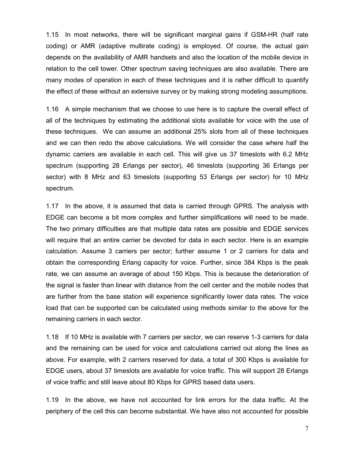1.15 In most networks, there will be significant marginal gains if GSM-HR (half rate coding) or AMR (adaptive multirate coding) is employed. Of course, the actual gain depends on the availability of AMR handsets and also the location of the mobile device in relation to the cell tower. Other spectrum saving techniques are also available. There are many modes of operation in each of these techniques and it is rather difficult to quantify the effect of these without an extensive survey or by making strong modeling assumptions.

1.16 A simple mechanism that we choose to use here is to capture the overall effect of all of the techniques by estimating the additional slots available for voice with the use of these techniques. We can assume an additional 25% slots from all of these techniques and we can then redo the above calculations. We will consider the case where half the dynamic carriers are available in each cell. This will give us 37 timeslots with 6.2 MHz spectrum (supporting 28 Erlangs per sector), 46 timeslots (supporting 36 Erlangs per sector) with 8 MHz and 63 timeslots (supporting 53 Erlangs per sector) for 10 MHz spectrum.

1.17 In the above, it is assumed that data is carried through GPRS. The analysis with EDGE can become a bit more complex and further simplifications will need to be made. The two primary difficulties are that multiple data rates are possible and EDGE services will require that an entire carrier be devoted for data in each sector. Here is an example calculation. Assume 3 carriers per sector; further assume 1 or 2 carriers for data and obtain the corresponding Erlang capacity for voice. Further, since 384 Kbps is the peak rate, we can assume an average of about 150 Kbps. This is because the deterioration of the signal is faster than linear with distance from the cell center and the mobile nodes that are further from the base station will experience significantly lower data rates. The voice load that can be supported can be calculated using methods similar to the above for the remaining carriers in each sector.

1.18 If 10 MHz is available with 7 carriers per sector, we can reserve 1-3 carriers for data and the remaining can be used for voice and calculations carried out along the lines as above. For example, with 2 carriers reserved for data, a total of 300 Kbps is available for EDGE users, about 37 timeslots are available for voice traffic. This will support 28 Erlangs of voice traffic and still leave about 80 Kbps for GPRS based data users.

1.19 In the above, we have not accounted for link errors for the data traffic. At the periphery of the cell this can become substantial. We have also not accounted for possible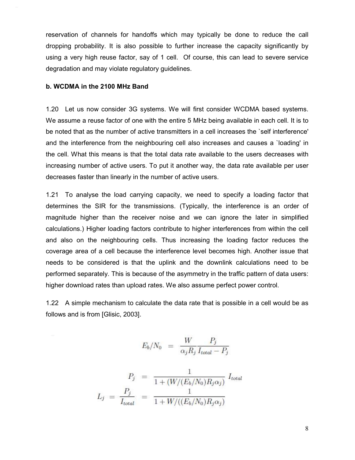reservation of channels for handoffs which may typically be done to reduce the call dropping probability. It is also possible to further increase the capacity significantly by using a very high reuse factor, say of 1 cell. Of course, this can lead to severe service degradation and may violate regulatory guidelines.

#### **b. WCDMA in the 2100 MHz Band**

1.20 Let us now consider 3G systems. We will first consider WCDMA based systems. We assume a reuse factor of one with the entire 5 MHz being available in each cell. It is to be noted that as the number of active transmitters in a cell increases the `self interference' and the interference from the neighbouring cell also increases and causes a `loading' in the cell. What this means is that the total data rate available to the users decreases with increasing number of active users. To put it another way, the data rate available per user decreases faster than linearly in the number of active users.

1.21 To analyse the load carrying capacity, we need to specify a loading factor that determines the SIR for the transmissions. (Typically, the interference is an order of magnitude higher than the receiver noise and we can ignore the later in simplified calculations.) Higher loading factors contribute to higher interferences from within the cell and also on the neighbouring cells. Thus increasing the loading factor reduces the coverage area of a cell because the interference level becomes high. Another issue that needs to be considered is that the uplink and the downlink calculations need to be performed separately. This is because of the asymmetry in the traffic pattern of data users: higher download rates than upload rates. We also assume perfect power control.

1.22 A simple mechanism to calculate the data rate that is possible in a cell would be as follows and is from [Glisic, 2003].

$$
E_b/N_0 = \frac{W}{\alpha_j R_j} \frac{P_j}{I_{total} - P_j}
$$

$$
P_j = \frac{1}{1 + (W/(E_b/N_0)R_j\alpha_j)} I_{total}
$$

$$
L_j = \frac{P_j}{I_{total}} = \frac{1}{1 + W/((E_b/N_0)R_j\alpha_j)}
$$

8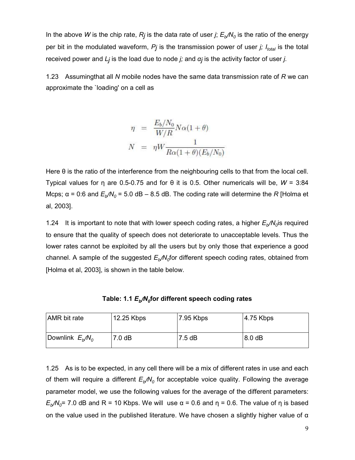In the above *W* is the chip rate, *Rj* is the data rate of user *j*; *Eb/N<sup>0</sup>* is the ratio of the energy per bit in the modulated waveform, *Pj* is the transmission power of user *j; Itotal* is the total received power and *Lj* is the load due to node *j;* and *αj* is the activity factor of user *j.* 

1.23 Assumingthat all *N* mobile nodes have the same data transmission rate of *R* we can approximate the `loading' on a cell as

$$
\eta = \frac{E_b/N_0}{W/R} N\alpha (1+\theta)
$$
  

$$
N = \eta W \frac{1}{R\alpha (1+\theta)(E_b/N_0)}
$$

Here θ is the ratio of the interference from the neighbouring cells to that from the local cell. Typical values for η are 0.5-0.75 and for θ it is 0.5. Other numericals will be, *W* = 3:84 Mcps; α = 0:6 and *Eb/N<sup>0</sup>* = 5.0 dB – 8.5 dB. The coding rate will determine the *R* [Holma et al, 2003].

1.24 It is important to note that with lower speech coding rates, a higher *Eb/N<sup>0</sup>* is required to ensure that the quality of speech does not deteriorate to unacceptable levels. Thus the lower rates cannot be exploited by all the users but by only those that experience a good channel. A sample of the suggested *Eb/N<sup>0</sup>* for different speech coding rates, obtained from [Holma et al, 2003], is shown in the table below.

| AMR bit rate                  | 12.25 Kbps | 7.95 Kbps | 4.75 Kbps |
|-------------------------------|------------|-----------|-----------|
| Downlink $E_{\rm N}N_{\rm o}$ | 7.0 dB     | 7.5dB     | 8.0 dB    |

**Table: 1.1** *Eb/N<sup>0</sup>* **for different speech coding rates** 

1.25 As is to be expected, in any cell there will be a mix of different rates in use and each of them will require a different *Eb/N<sup>0</sup>* for acceptable voice quality. Following the average parameter model, we use the following values for the average of the different parameters: *E<sub>b</sub>*/N<sub>0</sub>= 7.0 dB and R = 10 Kbps. We will use  $\alpha$  = 0.6 and η = 0.6. The value of η is based on the value used in the published literature. We have chosen a slightly higher value of  $\alpha$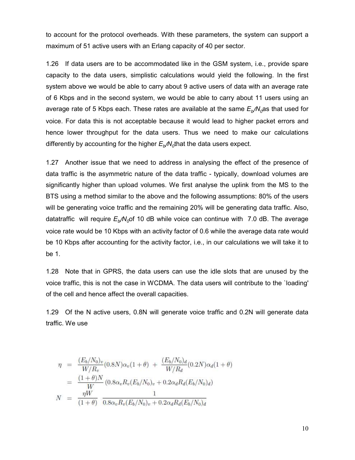to account for the protocol overheads. With these parameters, the system can support a maximum of 51 active users with an Erlang capacity of 40 per sector.

1.26 If data users are to be accommodated like in the GSM system, i.e., provide spare capacity to the data users, simplistic calculations would yield the following. In the first system above we would be able to carry about 9 active users of data with an average rate of 6 Kbps and in the second system, we would be able to carry about 11 users using an average rate of 5 Kbps each. These rates are available at the same *Eb/N0*as that used for voice. For data this is not acceptable because it would lead to higher packet errors and hence lower throughput for the data users. Thus we need to make our calculations differently by accounting for the higher *Eb/N<sup>0</sup>* that the data users expect.

1.27 Another issue that we need to address in analysing the effect of the presence of data traffic is the asymmetric nature of the data traffic - typically, download volumes are significantly higher than upload volumes. We first analyse the uplink from the MS to the BTS using a method similar to the above and the following assumptions: 80% of the users will be generating voice traffic and the remaining 20% will be generating data traffic. Also, datatraffic will require *Eb/N0*of 10 dB while voice can continue with 7.0 dB. The average voice rate would be 10 Kbps with an activity factor of 0.6 while the average data rate would be 10 Kbps after accounting for the activity factor, i.e., in our calculations we will take it to be 1.

1.28 Note that in GPRS, the data users can use the idle slots that are unused by the voice traffic, this is not the case in WCDMA. The data users will contribute to the `loading' of the cell and hence affect the overall capacities.

1.29 Of the N active users, 0.8N will generate voice traffic and 0.2N will generate data traffic. We use

$$
\eta = \frac{(E_b/N_0)_v}{W/R_v} (0.8N)\alpha_v (1+\theta) + \frac{(E_b/N_0)_d}{W/R_d} (0.2N)\alpha_d (1+\theta)
$$
  
= 
$$
\frac{(1+\theta)N}{W} (0.8\alpha_v R_v (E_b/N_0)_v + 0.2\alpha_d R_d (E_b/N_0)_d)
$$
  

$$
N = \frac{\eta W}{(1+\theta)} \frac{1}{0.8\alpha_v R_v (E_b/N_0)_v + 0.2\alpha_d R_d (E_b/N_0)_d}
$$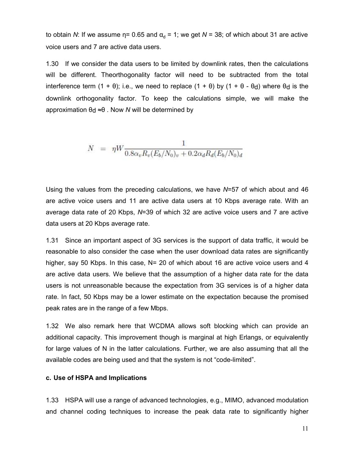to obtain *N*: If we assume η= 0.65 and  $\alpha_{\rm d}$  = 1; we get *N* = 38; of which about 31 are active voice users and 7 are active data users.

1.30 If we consider the data users to be limited by downlink rates, then the calculations will be different. Theorthogonality factor will need to be subtracted from the total interference term  $(1 + \theta)$ ; i.e., we need to replace  $(1 + \theta)$  by  $(1 + \theta - \theta)$  where  $\theta$ d is the downlink orthogonality factor. To keep the calculations simple, we will make the approximation θd ≈θ . Now *N* will be determined by

$$
N = \eta W \frac{1}{0.8\alpha_v R_v (E_b/N_0)_v + 0.2\alpha_d R_d (E_b/N_0)_d}
$$

Using the values from the preceding calculations, we have *N*=57 of which about and 46 are active voice users and 11 are active data users at 10 Kbps average rate. With an average data rate of 20 Kbps, *N*=39 of which 32 are active voice users and 7 are active data users at 20 Kbps average rate.

1.31 Since an important aspect of 3G services is the support of data traffic, it would be reasonable to also consider the case when the user download data rates are significantly higher, say 50 Kbps. In this case, N= 20 of which about 16 are active voice users and 4 are active data users. We believe that the assumption of a higher data rate for the data users is not unreasonable because the expectation from 3G services is of a higher data rate. In fact, 50 Kbps may be a lower estimate on the expectation because the promised peak rates are in the range of a few Mbps.

1.32 We also remark here that WCDMA allows soft blocking which can provide an additional capacity. This improvement though is marginal at high Erlangs, or equivalently for large values of N in the latter calculations. Further, we are also assuming that all the available codes are being used and that the system is not "code-limited".

## **c. Use of HSPA and Implications**

1.33 HSPA will use a range of advanced technologies, e.g., MIMO, advanced modulation and channel coding techniques to increase the peak data rate to significantly higher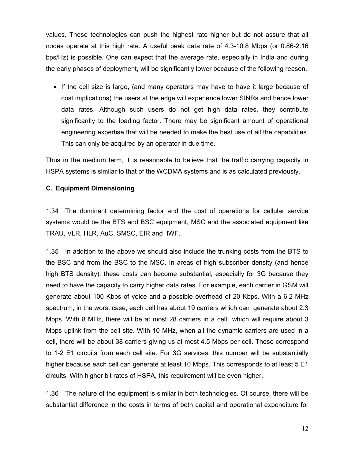values. These technologies can push the highest rate higher but do not assure that all nodes operate at this high rate. A useful peak data rate of 4.3-10.8 Mbps (or 0.86-2.16 bps/Hz) is possible. One can expect that the average rate, especially in India and during the early phases of deployment, will be significantly lower because of the following reason.

• If the cell size is large, (and many operators may have to have it large because of cost implications) the users at the edge will experience lower SINRs and hence lower data rates. Although such users do not get high data rates, they contribute significantly to the loading factor. There may be significant amount of operational engineering expertise that will be needed to make the best use of all the capabilities. This can only be acquired by an operator in due time.

Thus in the medium term, it is reasonable to believe that the traffic carrying capacity in HSPA systems is similar to that of the WCDMA systems and is as calculated previously.

## **C. Equipment Dimensioning**

1.34 The dominant determining factor and the cost of operations for cellular service systems would be the BTS and BSC equipment, MSC and the associated equipment like TRAU, VLR, HLR, AuC, SMSC, EIR and IWF.

1.35 In addition to the above we should also include the trunking costs from the BTS to the BSC and from the BSC to the MSC. In areas of high subscriber density (and hence high BTS density), these costs can become substantial, especially for 3G because they need to have the capacity to carry higher data rates. For example, each carrier in GSM will generate about 100 Kbps of voice and a possible overhead of 20 Kbps. With a 6.2 MHz spectrum, in the worst case, each cell has about 19 carriers which can generate about 2.3 Mbps. With 8 MHz, there will be at most 28 carriers in a cell which will require about 3 Mbps uplink from the cell site. With 10 MHz, when all the dynamic carriers are used in a cell, there will be about 38 carriers giving us at most 4.5 Mbps per cell. These correspond to 1-2 E1 circuits from each cell site. For 3G services, this number will be substantially higher because each cell can generate at least 10 Mbps. This corresponds to at least 5 E1 circuits. With higher bit rates of HSPA, this requirement will be even higher.

1.36 The nature of the equipment is similar in both technologies. Of course, there will be substantial difference in the costs in terms of both capital and operational expenditure for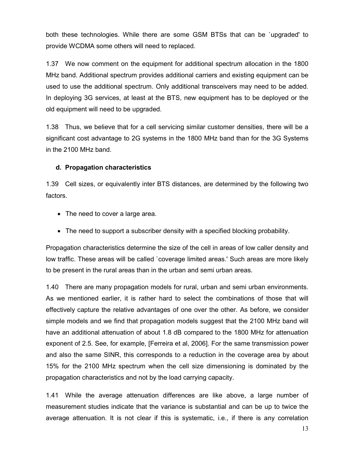both these technologies. While there are some GSM BTSs that can be `upgraded' to provide WCDMA some others will need to replaced.

1.37 We now comment on the equipment for additional spectrum allocation in the 1800 MHz band. Additional spectrum provides additional carriers and existing equipment can be used to use the additional spectrum. Only additional transceivers may need to be added. In deploying 3G services, at least at the BTS, new equipment has to be deployed or the old equipment will need to be upgraded.

1.38 Thus, we believe that for a cell servicing similar customer densities, there will be a significant cost advantage to 2G systems in the 1800 MHz band than for the 3G Systems in the 2100 MHz band.

# **d. Propagation characteristics**

1.39 Cell sizes, or equivalently inter BTS distances, are determined by the following two factors.

- The need to cover a large area.
- The need to support a subscriber density with a specified blocking probability.

Propagation characteristics determine the size of the cell in areas of low caller density and low traffic. These areas will be called `coverage limited areas.' Such areas are more likely to be present in the rural areas than in the urban and semi urban areas.

1.40 There are many propagation models for rural, urban and semi urban environments. As we mentioned earlier, it is rather hard to select the combinations of those that will effectively capture the relative advantages of one over the other. As before, we consider simple models and we find that propagation models suggest that the 2100 MHz band will have an additional attenuation of about 1.8 dB compared to the 1800 MHz for attenuation exponent of 2.5. See, for example, [Ferreira et al, 2006]. For the same transmission power and also the same SINR, this corresponds to a reduction in the coverage area by about 15% for the 2100 MHz spectrum when the cell size dimensioning is dominated by the propagation characteristics and not by the load carrying capacity.

1.41 While the average attenuation differences are like above, a large number of measurement studies indicate that the variance is substantial and can be up to twice the average attenuation. It is not clear if this is systematic, i.e., if there is any correlation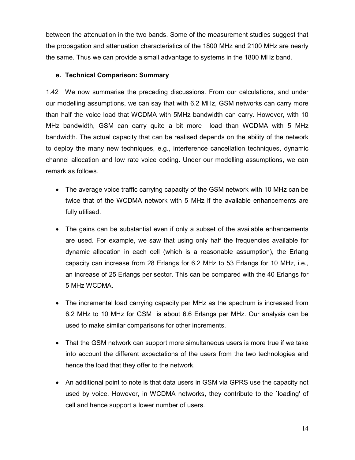between the attenuation in the two bands. Some of the measurement studies suggest that the propagation and attenuation characteristics of the 1800 MHz and 2100 MHz are nearly the same. Thus we can provide a small advantage to systems in the 1800 MHz band.

## **e. Technical Comparison: Summary**

1.42 We now summarise the preceding discussions. From our calculations, and under our modelling assumptions, we can say that with 6.2 MHz, GSM networks can carry more than half the voice load that WCDMA with 5MHz bandwidth can carry. However, with 10 MHz bandwidth, GSM can carry quite a bit more load than WCDMA with 5 MHz bandwidth. The actual capacity that can be realised depends on the ability of the network to deploy the many new techniques, e.g., interference cancellation techniques, dynamic channel allocation and low rate voice coding. Under our modelling assumptions, we can remark as follows.

- The average voice traffic carrying capacity of the GSM network with 10 MHz can be twice that of the WCDMA network with 5 MHz if the available enhancements are fully utilised.
- The gains can be substantial even if only a subset of the available enhancements are used. For example, we saw that using only half the frequencies available for dynamic allocation in each cell (which is a reasonable assumption), the Erlang capacity can increase from 28 Erlangs for 6.2 MHz to 53 Erlangs for 10 MHz, i.e., an increase of 25 Erlangs per sector. This can be compared with the 40 Erlangs for 5 MHz WCDMA.
- The incremental load carrying capacity per MHz as the spectrum is increased from 6.2 MHz to 10 MHz for GSM is about 6.6 Erlangs per MHz. Our analysis can be used to make similar comparisons for other increments.
- That the GSM network can support more simultaneous users is more true if we take into account the different expectations of the users from the two technologies and hence the load that they offer to the network.
- An additional point to note is that data users in GSM via GPRS use the capacity not used by voice. However, in WCDMA networks, they contribute to the `loading' of cell and hence support a lower number of users.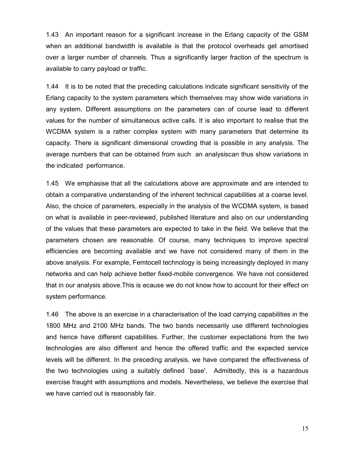1.43 An important reason for a significant increase in the Erlang capacity of the GSM when an additional bandwidth is available is that the protocol overheads get amortised over a larger number of channels. Thus a significantly larger fraction of the spectrum is available to carry payload or traffic.

1.44 It is to be noted that the preceding calculations indicate significant sensitivity of the Erlang capacity to the system parameters which themselves may show wide variations in any system. Different assumptions on the parameters can of course lead to different values for the number of simultaneous active calls. It is also important to realise that the WCDMA system is a rather complex system with many parameters that determine its capacity. There is significant dimensional crowding that is possible in any analysis. The average numbers that can be obtained from such an analysiscan thus show variations in the indicated performance.

1.45 We emphasise that all the calculations above are approximate and are intended to obtain a comparative understanding of the inherent technical capabilities at a coarse level. Also, the choice of parameters, especially in the analysis of the WCDMA system, is based on what is available in peer-reviewed, published literature and also on our understanding of the values that these parameters are expected to take in the field. We believe that the parameters chosen are reasonable. Of course, many techniques to improve spectral efficiencies are becoming available and we have not considered many of them in the above analysis. For example, Femtocell technology is being increasingly deployed in many networks and can help achieve better fixed-mobile convergence. We have not considered that in our analysis above.This is ecause we do not know how to account for their effect on system performance.

1.46 The above is an exercise in a characterisation of the load carrying capabilities in the 1800 MHz and 2100 MHz bands. The two bands necessarily use different technologies and hence have different capabilities. Further, the customer expectations from the two technologies are also different and hence the offered traffic and the expected service levels will be different. In the preceding analysis, we have compared the effectiveness of the two technologies using a suitably defined `base'. Admittedly, this is a hazardous exercise fraught with assumptions and models. Nevertheless, we believe the exercise that we have carried out is reasonably fair.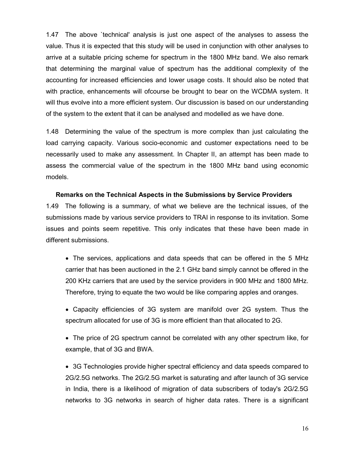1.47 The above `technical' analysis is just one aspect of the analyses to assess the value. Thus it is expected that this study will be used in conjunction with other analyses to arrive at a suitable pricing scheme for spectrum in the 1800 MHz band. We also remark that determining the marginal value of spectrum has the additional complexity of the accounting for increased efficiencies and lower usage costs. It should also be noted that with practice, enhancements will ofcourse be brought to bear on the WCDMA system. It will thus evolve into a more efficient system. Our discussion is based on our understanding of the system to the extent that it can be analysed and modelled as we have done.

1.48 Determining the value of the spectrum is more complex than just calculating the load carrying capacity. Various socio-economic and customer expectations need to be necessarily used to make any assessment. In Chapter II, an attempt has been made to assess the commercial value of the spectrum in the 1800 MHz band using economic models.

## **Remarks on the Technical Aspects in the Submissions by Service Providers**

1.49 The following is a summary, of what we believe are the technical issues, of the submissions made by various service providers to TRAI in response to its invitation. Some issues and points seem repetitive. This only indicates that these have been made in different submissions.

- The services, applications and data speeds that can be offered in the 5 MHz carrier that has been auctioned in the 2.1 GHz band simply cannot be offered in the 200 KHz carriers that are used by the service providers in 900 MHz and 1800 MHz. Therefore, trying to equate the two would be like comparing apples and oranges.
- Capacity efficiencies of 3G system are manifold over 2G system. Thus the spectrum allocated for use of 3G is more efficient than that allocated to 2G.
- The price of 2G spectrum cannot be correlated with any other spectrum like, for example, that of 3G and BWA.

• 3G Technologies provide higher spectral efficiency and data speeds compared to 2G/2.5G networks. The 2G/2.5G market is saturating and after launch of 3G service in India, there is a likelihood of migration of data subscribers of today's 2G/2.5G networks to 3G networks in search of higher data rates. There is a significant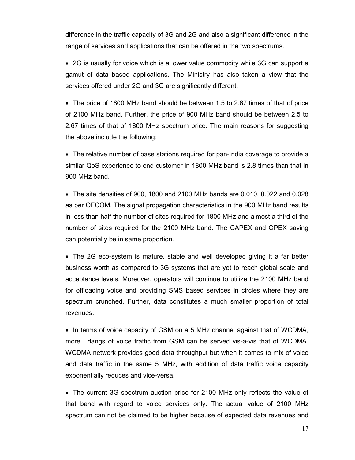difference in the traffic capacity of 3G and 2G and also a significant difference in the range of services and applications that can be offered in the two spectrums.

• 2G is usually for voice which is a lower value commodity while 3G can support a gamut of data based applications. The Ministry has also taken a view that the services offered under 2G and 3G are significantly different.

• The price of 1800 MHz band should be between 1.5 to 2.67 times of that of price of 2100 MHz band. Further, the price of 900 MHz band should be between 2.5 to 2.67 times of that of 1800 MHz spectrum price. The main reasons for suggesting the above include the following:

• The relative number of base stations required for pan-India coverage to provide a similar QoS experience to end customer in 1800 MHz band is 2.8 times than that in 900 MHz band.

• The site densities of 900, 1800 and 2100 MHz bands are 0.010, 0.022 and 0.028 as per OFCOM. The signal propagation characteristics in the 900 MHz band results in less than half the number of sites required for 1800 MHz and almost a third of the number of sites required for the 2100 MHz band. The CAPEX and OPEX saving can potentially be in same proportion.

• The 2G eco-system is mature, stable and well developed giving it a far better business worth as compared to 3G systems that are yet to reach global scale and acceptance levels. Moreover, operators will continue to utilize the 2100 MHz band for offloading voice and providing SMS based services in circles where they are spectrum crunched. Further, data constitutes a much smaller proportion of total revenues.

• In terms of voice capacity of GSM on a 5 MHz channel against that of WCDMA, more Erlangs of voice traffic from GSM can be served vis-a-vis that of WCDMA. WCDMA network provides good data throughput but when it comes to mix of voice and data traffic in the same 5 MHz, with addition of data traffic voice capacity exponentially reduces and vice-versa.

• The current 3G spectrum auction price for 2100 MHz only reflects the value of that band with regard to voice services only. The actual value of 2100 MHz spectrum can not be claimed to be higher because of expected data revenues and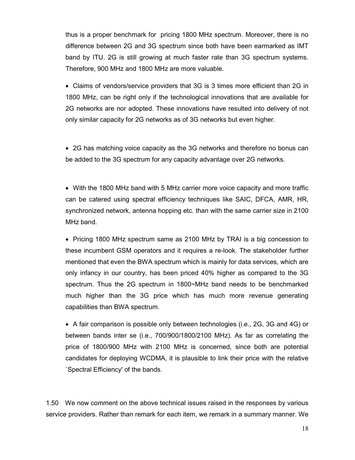thus is a proper benchmark for pricing 1800 MHz spectrum. Moreover, there is no difference between 2G and 3G spectrum since both have been earmarked as IMT band by ITU. 2G is still growing at much faster rate than 3G spectrum systems. Therefore, 900 MHz and 1800 MHz are more valuable.

• Claims of vendors/service providers that 3G is 3 times more efficient than 2G in 1800 MHz, can be right only if the technological innovations that are available for 2G networks are nor adopted. These innovations have resulted into delivery of not only similar capacity for 2G networks as of 3G networks but even higher.

• 2G has matching voice capacity as the 3G networks and therefore no bonus can be added to the 3G spectrum for any capacity advantage over 2G networks.

• With the 1800 MHz band with 5 MHz carrier more voice capacity and more traffic can be catered using spectral efficiency techniques like SAIC, DFCA, AMR, HR, synchronized network, antenna hopping etc. than with the same carrier size in 2100 MHz band.

• Pricing 1800 MHz spectrum same as 2100 MHz by TRAI is a big concession to these incumbent GSM operators and it requires a re-look. The stakeholder further mentioned that even the BWA spectrum which is mainly for data services, which are only infancy in our country, has been priced 40% higher as compared to the 3G spectrum. Thus the 2G spectrum in 1800~MHz band needs to be benchmarked much higher than the 3G price which has much more revenue generating capabilities than BWA spectrum.

• A fair comparison is possible only between technologies (i.e., 2G, 3G and 4G) or between bands inter se (i.e., 700/900/1800/2100 MHz). As far as correlating the price of 1800/900 MHz with 2100 MHz is concerned, since both are potential candidates for deploying WCDMA, it is plausible to link their price with the relative `Spectral Efficiency' of the bands.

1.50 We now comment on the above technical issues raised in the responses by various service providers. Rather than remark for each item, we remark in a summary manner. We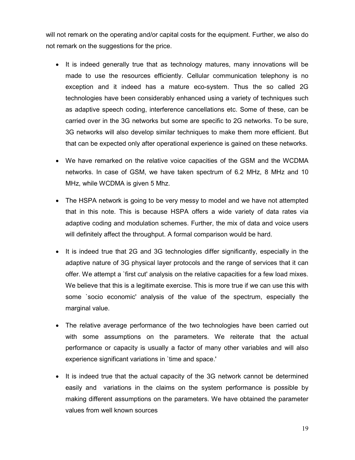will not remark on the operating and/or capital costs for the equipment. Further, we also do not remark on the suggestions for the price.

- It is indeed generally true that as technology matures, many innovations will be made to use the resources efficiently. Cellular communication telephony is no exception and it indeed has a mature eco-system. Thus the so called 2G technologies have been considerably enhanced using a variety of techniques such as adaptive speech coding, interference cancellations etc. Some of these, can be carried over in the 3G networks but some are specific to 2G networks. To be sure, 3G networks will also develop similar techniques to make them more efficient. But that can be expected only after operational experience is gained on these networks.
- We have remarked on the relative voice capacities of the GSM and the WCDMA networks. In case of GSM, we have taken spectrum of 6.2 MHz, 8 MHz and 10 MHz, while WCDMA is given 5 Mhz.
- The HSPA network is going to be very messy to model and we have not attempted that in this note. This is because HSPA offers a wide variety of data rates via adaptive coding and modulation schemes. Further, the mix of data and voice users will definitely affect the throughput. A formal comparison would be hard.
- It is indeed true that 2G and 3G technologies differ significantly, especially in the adaptive nature of 3G physical layer protocols and the range of services that it can offer. We attempt a `first cut' analysis on the relative capacities for a few load mixes. We believe that this is a legitimate exercise. This is more true if we can use this with some `socio economic' analysis of the value of the spectrum, especially the marginal value.
- The relative average performance of the two technologies have been carried out with some assumptions on the parameters. We reiterate that the actual performance or capacity is usually a factor of many other variables and will also experience significant variations in `time and space.'
- It is indeed true that the actual capacity of the 3G network cannot be determined easily and variations in the claims on the system performance is possible by making different assumptions on the parameters. We have obtained the parameter values from well known sources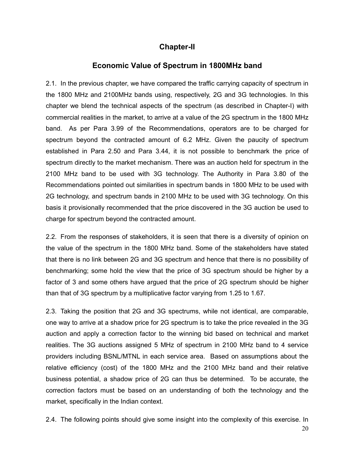# **Chapter-II**

# **Economic Value of Spectrum in 1800MHz band**

2.1. In the previous chapter, we have compared the traffic carrying capacity of spectrum in the 1800 MHz and 2100MHz bands using, respectively, 2G and 3G technologies. In this chapter we blend the technical aspects of the spectrum (as described in Chapter-I) with commercial realities in the market, to arrive at a value of the 2G spectrum in the 1800 MHz band. As per Para 3.99 of the Recommendations, operators are to be charged for spectrum beyond the contracted amount of 6.2 MHz. Given the paucity of spectrum established in Para 2.50 and Para 3.44, it is not possible to benchmark the price of spectrum directly to the market mechanism. There was an auction held for spectrum in the 2100 MHz band to be used with 3G technology. The Authority in Para 3.80 of the Recommendations pointed out similarities in spectrum bands in 1800 MHz to be used with 2G technology, and spectrum bands in 2100 MHz to be used with 3G technology. On this basis it provisionally recommended that the price discovered in the 3G auction be used to charge for spectrum beyond the contracted amount.

2.2. From the responses of stakeholders, it is seen that there is a diversity of opinion on the value of the spectrum in the 1800 MHz band. Some of the stakeholders have stated that there is no link between 2G and 3G spectrum and hence that there is no possibility of benchmarking; some hold the view that the price of 3G spectrum should be higher by a factor of 3 and some others have argued that the price of 2G spectrum should be higher than that of 3G spectrum by a multiplicative factor varying from 1.25 to 1.67.

2.3. Taking the position that 2G and 3G spectrums, while not identical, are comparable, one way to arrive at a shadow price for 2G spectrum is to take the price revealed in the 3G auction and apply a correction factor to the winning bid based on technical and market realities. The 3G auctions assigned 5 MHz of spectrum in 2100 MHz band to 4 service providers including BSNL/MTNL in each service area. Based on assumptions about the relative efficiency (cost) of the 1800 MHz and the 2100 MHz band and their relative business potential, a shadow price of 2G can thus be determined. To be accurate, the correction factors must be based on an understanding of both the technology and the market, specifically in the Indian context.

2.4. The following points should give some insight into the complexity of this exercise. In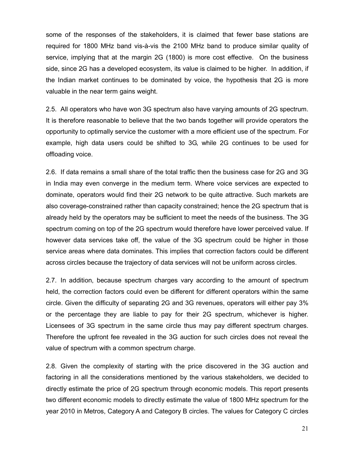some of the responses of the stakeholders, it is claimed that fewer base stations are required for 1800 MHz band vis-à-vis the 2100 MHz band to produce similar quality of service, implying that at the margin 2G (1800) is more cost effective. On the business side, since 2G has a developed ecosystem, its value is claimed to be higher. In addition, if the Indian market continues to be dominated by voice, the hypothesis that 2G is more valuable in the near term gains weight.

2.5. All operators who have won 3G spectrum also have varying amounts of 2G spectrum. It is therefore reasonable to believe that the two bands together will provide operators the opportunity to optimally service the customer with a more efficient use of the spectrum. For example, high data users could be shifted to 3G, while 2G continues to be used for offloading voice.

2.6. If data remains a small share of the total traffic then the business case for 2G and 3G in India may even converge in the medium term. Where voice services are expected to dominate, operators would find their 2G network to be quite attractive. Such markets are also coverage-constrained rather than capacity constrained; hence the 2G spectrum that is already held by the operators may be sufficient to meet the needs of the business. The 3G spectrum coming on top of the 2G spectrum would therefore have lower perceived value. If however data services take off, the value of the 3G spectrum could be higher in those service areas where data dominates. This implies that correction factors could be different across circles because the trajectory of data services will not be uniform across circles.

2.7. In addition, because spectrum charges vary according to the amount of spectrum held, the correction factors could even be different for different operators within the same circle. Given the difficulty of separating 2G and 3G revenues, operators will either pay 3% or the percentage they are liable to pay for their 2G spectrum, whichever is higher. Licensees of 3G spectrum in the same circle thus may pay different spectrum charges. Therefore the upfront fee revealed in the 3G auction for such circles does not reveal the value of spectrum with a common spectrum charge.

2.8. Given the complexity of starting with the price discovered in the 3G auction and factoring in all the considerations mentioned by the various stakeholders, we decided to directly estimate the price of 2G spectrum through economic models. This report presents two different economic models to directly estimate the value of 1800 MHz spectrum for the year 2010 in Metros, Category A and Category B circles. The values for Category C circles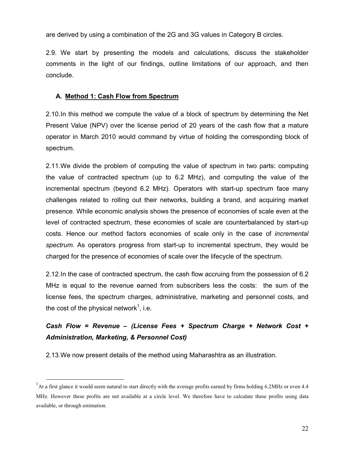are derived by using a combination of the 2G and 3G values in Category B circles.

2.9. We start by presenting the models and calculations, discuss the stakeholder comments in the light of our findings, outline limitations of our approach, and then conclude.

# **A. Method 1: Cash Flow from Spectrum**

2.10. In this method we compute the value of a block of spectrum by determining the Net Present Value (NPV) over the license period of 20 years of the cash flow that a mature operator in March 2010 would command by virtue of holding the corresponding block of spectrum.

2.11. We divide the problem of computing the value of spectrum in two parts: computing the value of contracted spectrum (up to 6.2 MHz), and computing the value of the incremental spectrum (beyond 6.2 MHz). Operators with start-up spectrum face many challenges related to rolling out their networks, building a brand, and acquiring market presence. While economic analysis shows the presence of economies of scale even at the level of contracted spectrum, these economies of scale are counterbalanced by start-up costs. Hence our method factors economies of scale only in the case of *incremental spectrum*. As operators progress from start-up to incremental spectrum, they would be charged for the presence of economies of scale over the lifecycle of the spectrum.

2.12. In the case of contracted spectrum, the cash flow accruing from the possession of 6.2 MHz is equal to the revenue earned from subscribers less the costs: the sum of the license fees, the spectrum charges, administrative, marketing and personnel costs, and the cost of the physical network<sup>1</sup>, i.e.

# *Cash Flow = Revenue – (License Fees + Spectrum Charge + Network Cost + Administration, Marketing, & Personnel Cost)*

2.13. We now present details of the method using Maharashtra as an illustration.

 $\overline{a}$ 

 $<sup>1</sup>$ At a first glance it would seem natural to start directly with the average profits earned by firms holding 6.2MHz or even 4.4</sup> MHz. However these profits are not available at a circle level. We therefore have to calculate these profits using data available, or through estimation.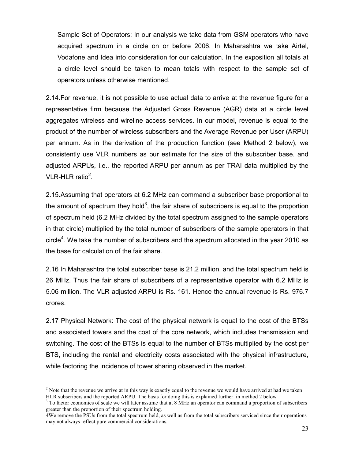Sample Set of Operators: In our analysis we take data from GSM operators who have acquired spectrum in a circle on or before 2006. In Maharashtra we take Airtel, Vodafone and Idea into consideration for our calculation. In the exposition all totals at a circle level should be taken to mean totals with respect to the sample set of operators unless otherwise mentioned.

2.14. For revenue, it is not possible to use actual data to arrive at the revenue figure for a representative firm because the Adjusted Gross Revenue (AGR) data at a circle level aggregates wireless and wireline access services. In our model, revenue is equal to the product of the number of wireless subscribers and the Average Revenue per User (ARPU) per annum. As in the derivation of the production function (see Method 2 below), we consistently use VLR numbers as our estimate for the size of the subscriber base, and adjusted ARPUs, i.e., the reported ARPU per annum as per TRAI data multiplied by the VLR-HLR ratio<sup>2</sup>.

2.15. Assuming that operators at 6.2 MHz can command a subscriber base proportional to the amount of spectrum they hold<sup>3</sup>, the fair share of subscribers is equal to the proportion of spectrum held (6.2 MHz divided by the total spectrum assigned to the sample operators in that circle) multiplied by the total number of subscribers of the sample operators in that circle<sup>4</sup>. We take the number of subscribers and the spectrum allocated in the year 2010 as the base for calculation of the fair share.

2.16 In Maharashtra the total subscriber base is 21.2 million, and the total spectrum held is 26 MHz. Thus the fair share of subscribers of a representative operator with 6.2 MHz is 5.06 million. The VLR adjusted ARPU is Rs. 161. Hence the annual revenue is Rs. 976.7 crores.

2.17 Physical Network: The cost of the physical network is equal to the cost of the BTSs and associated towers and the cost of the core network, which includes transmission and switching. The cost of the BTSs is equal to the number of BTSs multiplied by the cost per BTS, including the rental and electricity costs associated with the physical infrastructure, while factoring the incidence of tower sharing observed in the market.

<sup>&</sup>lt;sup>2</sup> Note that the revenue we arrive at in this way is exactly equal to the revenue we would have arrived at had we taken HLR subscribers and the reported ARPU. The basis for doing this is explained further in method 2 below

<sup>&</sup>lt;sup>3</sup> To factor economies of scale we will later assume that at 8 MHz an operator can command a proportion of subscribers greater than the proportion of their spectrum holding.

<sup>4</sup>We remove the PSUs from the total spectrum held, as well as from the total subscribers serviced since their operations may not always reflect pure commercial considerations.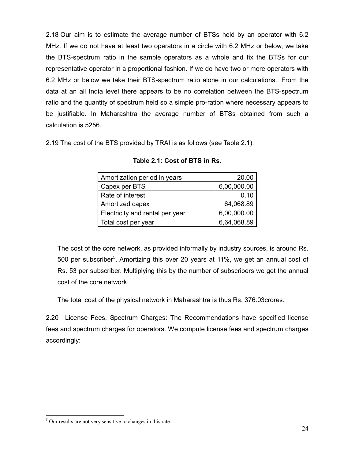2.18 Our aim is to estimate the average number of BTSs held by an operator with 6.2 MHz. If we do not have at least two operators in a circle with 6.2 MHz or below, we take the BTS-spectrum ratio in the sample operators as a whole and fix the BTSs for our representative operator in a proportional fashion. If we do have two or more operators with 6.2 MHz or below we take their BTS-spectrum ratio alone in our calculations.. From the data at an all India level there appears to be no correlation between the BTS-spectrum ratio and the quantity of spectrum held so a simple pro-ration where necessary appears to be justifiable. In Maharashtra the average number of BTSs obtained from such a calculation is 5256.

2.19 The cost of the BTS provided by TRAI is as follows (see Table 2.1):

| Amortization period in years    | 20.00       |
|---------------------------------|-------------|
| Capex per BTS                   | 6,00,000.00 |
| Rate of interest                | 0.10        |
| Amortized capex                 | 64,068.89   |
| Electricity and rental per year | 6,00,000.00 |
| Total cost per year             | 6,64,068.89 |

**Table 2.1: Cost of BTS in Rs.** 

The cost of the core network, as provided informally by industry sources, is around Rs. 500 per subscriber<sup>5</sup>. Amortizing this over 20 years at 11%, we get an annual cost of Rs. 53 per subscriber. Multiplying this by the number of subscribers we get the annual cost of the core network.

The total cost of the physical network in Maharashtra is thus Rs. 376.03crores.

2.20 License Fees, Spectrum Charges: The Recommendations have specified license fees and spectrum charges for operators. We compute license fees and spectrum charges accordingly:

<sup>&</sup>lt;sup>5</sup> Our results are not very sensitive to changes in this rate.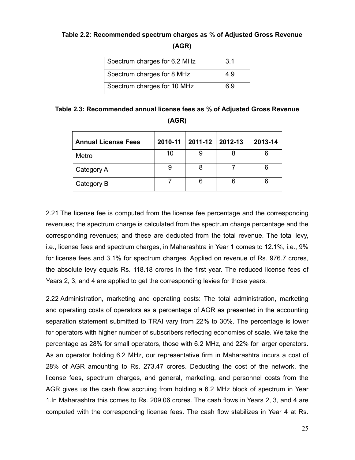**Table 2.2: Recommended spectrum charges as % of Adjusted Gross Revenue (AGR)**

| 3 1 |
|-----|
| 49  |
|     |
| 6 Զ |
|     |

**Table 2.3: Recommended annual license fees as % of Adjusted Gross Revenue (AGR)**

| <b>Annual License Fees</b> | 2010-11 | ∣ 2011-12 ∣ 2012-13 | 2013-14 |
|----------------------------|---------|---------------------|---------|
| Metro                      | 10      |                     | ิค      |
| Category A                 |         | 8                   |         |
| Category B                 |         | 6                   |         |

2.21 The license fee is computed from the license fee percentage and the corresponding revenues; the spectrum charge is calculated from the spectrum charge percentage and the corresponding revenues; and these are deducted from the total revenue. The total levy, i.e., license fees and spectrum charges, in Maharashtra in Year 1 comes to 12.1%, i.e., 9% for license fees and 3.1% for spectrum charges. Applied on revenue of Rs. 976.7 crores, the absolute levy equals Rs. 118.18 crores in the first year. The reduced license fees of Years 2, 3, and 4 are applied to get the corresponding levies for those years.

2.22 Administration, marketing and operating costs: The total administration, marketing and operating costs of operators as a percentage of AGR as presented in the accounting separation statement submitted to TRAI vary from 22% to 30%. The percentage is lower for operators with higher number of subscribers reflecting economies of scale. We take the percentage as 28% for small operators, those with 6.2 MHz, and 22% for larger operators. As an operator holding 6.2 MHz, our representative firm in Maharashtra incurs a cost of 28% of AGR amounting to Rs. 273.47 crores. Deducting the cost of the network, the license fees, spectrum charges, and general, marketing, and personnel costs from the AGR gives us the cash flow accruing from holding a 6.2 MHz block of spectrum in Year 1.In Maharashtra this comes to Rs. 209.06 crores. The cash flows in Years 2, 3, and 4 are computed with the corresponding license fees. The cash flow stabilizes in Year 4 at Rs.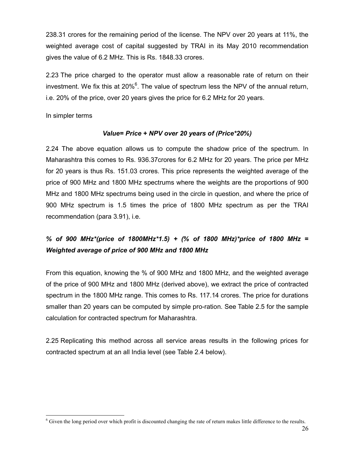238.31 crores for the remaining period of the license. The NPV over 20 years at 11%, the weighted average cost of capital suggested by TRAI in its May 2010 recommendation gives the value of 6.2 MHz. This is Rs. 1848.33 crores.

2.23 The price charged to the operator must allow a reasonable rate of return on their investment. We fix this at 20% $^6$ . The value of spectrum less the NPV of the annual return, i.e. 20% of the price, over 20 years gives the price for 6.2 MHz for 20 years.

In simpler terms

## *Value= Price + NPV over 20 years of (Price\*20%)*

2.24 The above equation allows us to compute the shadow price of the spectrum. In Maharashtra this comes to Rs. 936.37crores for 6.2 MHz for 20 years. The price per MHz for 20 years is thus Rs. 151.03 crores. This price represents the weighted average of the price of 900 MHz and 1800 MHz spectrums where the weights are the proportions of 900 MHz and 1800 MHz spectrums being used in the circle in question, and where the price of 900 MHz spectrum is 1.5 times the price of 1800 MHz spectrum as per the TRAI recommendation (para 3.91), i.e.

# *% of 900 MHz\*(price of 1800MHz\*1.5) + (% of 1800 MHz)\*price of 1800 MHz = Weighted average of price of 900 MHz and 1800 MHz*

From this equation, knowing the % of 900 MHz and 1800 MHz, and the weighted average of the price of 900 MHz and 1800 MHz (derived above), we extract the price of contracted spectrum in the 1800 MHz range. This comes to Rs. 117.14 crores. The price for durations smaller than 20 years can be computed by simple pro-ration. See Table 2.5 for the sample calculation for contracted spectrum for Maharashtra.

2.25 Replicating this method across all service areas results in the following prices for contracted spectrum at an all India level (see Table 2.4 below).

<sup>&</sup>lt;sup>6</sup> Given the long period over which profit is discounted changing the rate of return makes little difference to the results.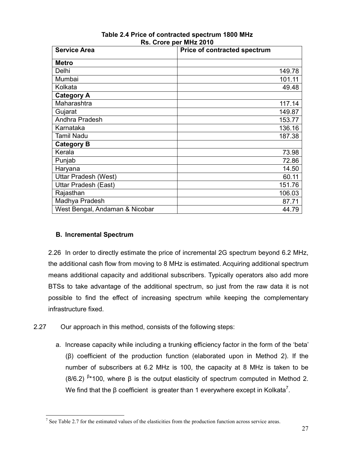| <b>Service Area</b>            | <b>Price of contracted spectrum</b> |
|--------------------------------|-------------------------------------|
| <b>Metro</b>                   |                                     |
| Delhi                          | 149.78                              |
| Mumbai                         | 101.11                              |
| Kolkata                        | 49.48                               |
| <b>Category A</b>              |                                     |
| Maharashtra                    | 117.14                              |
| Gujarat                        | 149.87                              |
| Andhra Pradesh                 | 153.77                              |
| Karnataka                      | 136.16                              |
| <b>Tamil Nadu</b>              | 187.38                              |
| <b>Category B</b>              |                                     |
| Kerala                         | 73.98                               |
| Punjab                         | 72.86                               |
| Haryana                        | 14.50                               |
| <b>Uttar Pradesh (West)</b>    | 60.11                               |
| Uttar Pradesh (East)           | 151.76                              |
| Rajasthan                      | 106.03                              |
| Madhya Pradesh                 | 87.71                               |
| West Bengal, Andaman & Nicobar | 44.79                               |

## **Table 2.4 Price of contracted spectrum 1800 MHz Rs. Crore per MHz 2010**

# **B. Incremental Spectrum**

2.26 In order to directly estimate the price of incremental 2G spectrum beyond 6.2 MHz, the additional cash flow from moving to 8 MHz is estimated. Acquiring additional spectrum means additional capacity and additional subscribers. Typically operators also add more BTSs to take advantage of the additional spectrum, so just from the raw data it is not possible to find the effect of increasing spectrum while keeping the complementary infrastructure fixed.

- 2.27 Our approach in this method, consists of the following steps:
	- a. Increase capacity while including a trunking efficiency factor in the form of the 'beta' (β) coefficient of the production function (elaborated upon in Method 2). If the number of subscribers at 6.2 MHz is 100, the capacity at 8 MHz is taken to be (8/6.2) <sup>β\*</sup>100, where β is the output elasticity of spectrum computed in Method 2. We find that the β coefficient is greater than 1 everywhere except in Kolkata<sup>7</sup>.

<sup>&</sup>lt;sup>7</sup> See Table 2.7 for the estimated values of the elasticities from the production function across service areas.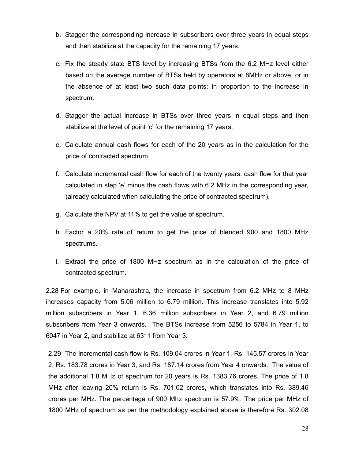- b. Stagger the corresponding increase in subscribers over three years in equal steps and then stabilize at the capacity for the remaining 17 years.
- c. Fix the steady state BTS level by increasing BTSs from the 6.2 MHz level either based on the average number of BTSs held by operators at 8MHz or above, or in the absence of at least two such data points: in proportion to the increase in spectrum.
- d. Stagger the actual increase in BTSs over three years in equal steps and then stabilize at the level of point 'c' for the remaining 17 years.
- e. Calculate annual cash flows for each of the 20 years as in the calculation for the price of contracted spectrum.
- f. Calculate incremental cash flow for each of the twenty years: cash flow for that year calculated in step 'e' minus the cash flows with 6.2 MHz in the corresponding year, (already calculated when calculating the price of contracted spectrum).
- g. Calculate the NPV at 11% to get the value of spectrum.
- h. Factor a 20% rate of return to get the price of blended 900 and 1800 MHz spectrums.
- i. Extract the price of 1800 MHz spectrum as in the calculation of the price of contracted spectrum.

2.28 For example, in Maharashtra, the increase in spectrum from 6.2 MHz to 8 MHz increases capacity from 5.06 million to 6.79 million. This increase translates into 5.92 million subscribers in Year 1, 6.36 million subscribers in Year 2, and 6.79 million subscribers from Year 3 onwards. The BTSs increase from 5256 to 5784 in Year 1, to 6047 in Year 2, and stabilize at 6311 from Year 3.

2.29 The incremental cash flow is Rs. 109.04 crores in Year 1, Rs. 145.57 crores in Year 2, Rs. 183.78 crores in Year 3, and Rs. 187.14 crores from Year 4 onwards. The value of the additional 1.8 MHz of spectrum for 20 years is Rs. 1383.76 crores. The price of 1.8 MHz after leaving 20% return is Rs. 701.02 crores, which translates into Rs. 389.46 crores per MHz. The percentage of 900 Mhz spectrum is 57.9%. The price per MHz of 1800 MHz of spectrum as per the methodology explained above is therefore Rs. 302.08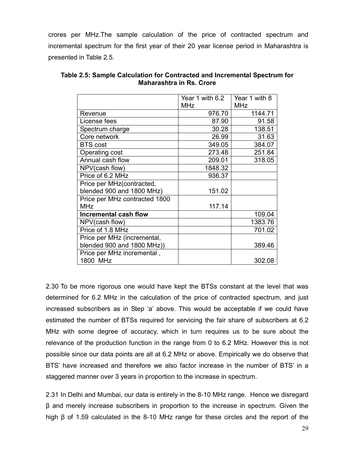crores per MHz.The sample calculation of the price of contracted spectrum and incremental spectrum for the first year of their 20 year license period in Maharashtra is presented in Table 2.5.

|                               | Year 1 with 6.2 | Year 1 with 8 |
|-------------------------------|-----------------|---------------|
|                               | <b>MHz</b>      | <b>MHz</b>    |
| Revenue                       | 976.70          | 1144.71       |
| License fees                  | 87.90           | 91.58         |
| Spectrum charge               | 30.28           | 138.51        |
| Core network                  | 26.99           | 31.63         |
| <b>BTS</b> cost               | 349.05          | 384.07        |
| Operating cost                | 273.48          | 251.84        |
| Annual cash flow              | 209.01          | 318.05        |
| NPV(cash flow)                | 1848.32         |               |
| Price of 6.2 MHz              | 936.37          |               |
| Price per MHz(contracted,     |                 |               |
| blended 900 and 1800 MHz)     | 151.02          |               |
| Price per MHz contracted 1800 |                 |               |
| <b>MHz</b>                    | 117.14          |               |
| Incremental cash flow         |                 | 109.04        |
| NPV(cash flow)                |                 | 1383.76       |
| Price of 1.8 MHz              |                 | 701.02        |
| Price per MHz (incremental,   |                 |               |
| blended 900 and 1800 MHz))    |                 | 389.46        |
| Price per MHz incremental,    |                 |               |
| 1800 MHz                      |                 | 302.08        |

**Table 2.5: Sample Calculation for Contracted and Incremental Spectrum for Maharashtra in Rs. Crore** 

2.30 To be more rigorous one would have kept the BTSs constant at the level that was determined for 6.2 MHz in the calculation of the price of contracted spectrum, and just increased subscribers as in Step 'a' above. This would be acceptable if we could have estimated the number of BTSs required for servicing the fair share of subscribers at 6.2 MHz with some degree of accuracy, which in turn requires us to be sure about the relevance of the production function in the range from 0 to 6.2 MHz. However this is not possible since our data points are all at 6.2 MHz or above. Empirically we do observe that BTS' have increased and therefore we also factor increase in the number of BTS' in a staggered manner over 3 years in proportion to the increase in spectrum.

2.31 In Delhi and Mumbai, our data is entirely in the 8-10 MHz range. Hence we disregard β and merely increase subscribers in proportion to the increase in spectrum. Given the high β of 1.59 calculated in the 8-10 MHz range for these circles and the report of the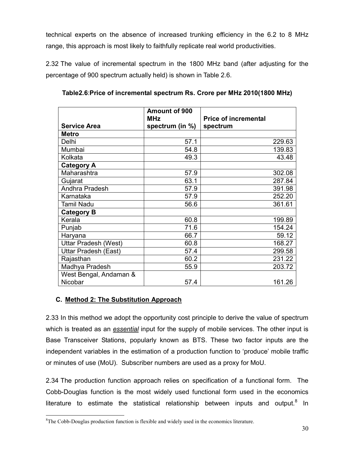technical experts on the absence of increased trunking efficiency in the 6.2 to 8 MHz range, this approach is most likely to faithfully replicate real world productivities.

2.32 The value of incremental spectrum in the 1800 MHz band (after adjusting for the percentage of 900 spectrum actually held) is shown in Table 2.6.

|                        | <b>Amount of 900</b><br><b>MHz</b> |                             |
|------------------------|------------------------------------|-----------------------------|
|                        |                                    | <b>Price of incremental</b> |
| <b>Service Area</b>    | spectrum (in %)                    | spectrum                    |
| <b>Metro</b>           |                                    |                             |
| Delhi                  | 57.1                               | 229.63                      |
| Mumbai                 | 54.8                               | 139.83                      |
| Kolkata                | 49.3                               | 43.48                       |
| <b>Category A</b>      |                                    |                             |
| Maharashtra            | 57.9                               | 302.08                      |
| Gujarat                | 63.1                               | 287.84                      |
| Andhra Pradesh         | 57.9                               | 391.98                      |
| Karnataka              | 57.9                               | 252.20                      |
| <b>Tamil Nadu</b>      | 56.6                               | 361.61                      |
| <b>Category B</b>      |                                    |                             |
| Kerala                 | 60.8                               | 199.89                      |
| Punjab                 | 71.6                               | 154.24                      |
| Haryana                | 66.7                               | 59.12                       |
| Uttar Pradesh (West)   | 60.8                               | 168.27                      |
| Uttar Pradesh (East)   | 57.4                               | 299.58                      |
| Rajasthan              | 60.2                               | 231.22                      |
| Madhya Pradesh         | 55.9                               | 203.72                      |
| West Bengal, Andaman & |                                    |                             |
| Nicobar                | 57.4                               | 161.26                      |

**Table2.6**:**Price of incremental spectrum Rs. Crore per MHz 2010(1800 MHz)** 

# **C. Method 2: The Substitution Approach**

2.33 In this method we adopt the opportunity cost principle to derive the value of spectrum which is treated as an *essential* input for the supply of mobile services. The other input is Base Transceiver Stations, popularly known as BTS. These two factor inputs are the independent variables in the estimation of a production function to 'produce' mobile traffic or minutes of use (MoU). Subscriber numbers are used as a proxy for MoU.

2.34 The production function approach relies on specification of a functional form. The Cobb-Douglas function is the most widely used functional form used in the economics literature to estimate the statistical relationship between inputs and output.<sup>8</sup> In

<sup>&</sup>lt;sup>8</sup>The Cobb-Douglas production function is flexible and widely used in the economics literature.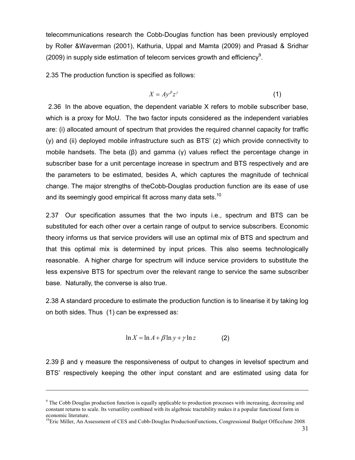telecommunications research the Cobb-Douglas function has been previously employed by Roller &Waverman (2001), Kathuria, Uppal and Mamta (2009) and Prasad & Sridhar (2009) in supply side estimation of telecom services growth and efficiency<sup>9</sup>.

2.35 The production function is specified as follows:

$$
X = Ay^{\beta} z^{\gamma} \tag{1}
$$

2.36 In the above equation, the dependent variable X refers to mobile subscriber base, which is a proxy for MoU. The two factor inputs considered as the independent variables are: (i) allocated amount of spectrum that provides the required channel capacity for traffic (y) and (ii) deployed mobile infrastructure such as BTS' (z) which provide connectivity to mobile handsets. The beta (β) and gamma (γ) values reflect the percentage change in subscriber base for a unit percentage increase in spectrum and BTS respectively and are the parameters to be estimated, besides A, which captures the magnitude of technical change. The major strengths of theCobb-Douglas production function are its ease of use and its seemingly good empirical fit across many data sets.<sup>10</sup>

2.37 Our specification assumes that the two inputs i.e., spectrum and BTS can be substituted for each other over a certain range of output to service subscribers. Economic theory informs us that service providers will use an optimal mix of BTS and spectrum and that this optimal mix is determined by input prices. This also seems technologically reasonable. A higher charge for spectrum will induce service providers to substitute the less expensive BTS for spectrum over the relevant range to service the same subscriber base. Naturally, the converse is also true.

2.38 A standard procedure to estimate the production function is to linearise it by taking log on both sides. Thus (1) can be expressed as:

$$
\ln X = \ln A + \beta \ln y + \gamma \ln z \tag{2}
$$

2.39 β and γ measure the responsiveness of output to changes in levelsof spectrum and BTS' respectively keeping the other input constant and are estimated using data for

 $\ddot{\phantom{a}}$ 

<sup>&</sup>lt;sup>9</sup> The Cobb Douglas production function is equally applicable to production processes with increasing, decreasing and constant returns to scale. Its versatility combined with its algebraic tractability makes it a popular functional form in economic literature.

<sup>&</sup>lt;sup>10</sup>Eric Miller, An Assessment of CES and Cobb-Douglas ProductionFunctions, Congressional Budget OfficeJune 2008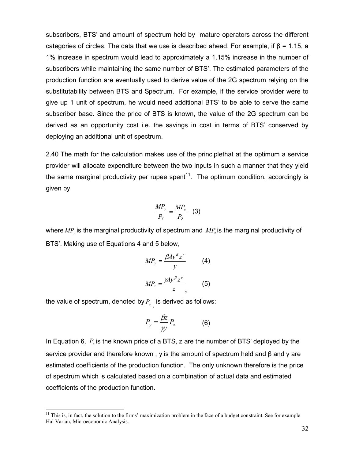subscribers, BTS' and amount of spectrum held by mature operators across the different categories of circles. The data that we use is described ahead. For example, if  $\beta$  = 1.15, a 1% increase in spectrum would lead to approximately a 1.15% increase in the number of subscribers while maintaining the same number of BTS'. The estimated parameters of the production function are eventually used to derive value of the 2G spectrum relying on the substitutability between BTS and Spectrum. For example, if the service provider were to give up 1 unit of spectrum, he would need additional BTS' to be able to serve the same subscriber base. Since the price of BTS is known, the value of the 2G spectrum can be derived as an opportunity cost i.e. the savings in cost in terms of BTS' conserved by deploying an additional unit of spectrum.

2.40 The math for the calculation makes use of the principlethat at the optimum a service provider will allocate expenditure between the two inputs in such a manner that they yield the same marginal productivity per rupee spent<sup>11</sup>. The optimum condition, accordingly is given by

$$
\frac{MP_y}{P_y} = \frac{MP_z}{P_z} \quad (3)
$$

where *MP<sup>y</sup>* is the marginal productivity of spectrum and *MP<sup>z</sup>* is the marginal productivity of BTS'. Making use of Equations 4 and 5 below,

$$
MP_y = \frac{\beta A y^B z^r}{y}
$$
 (4)  

$$
MP_z = \frac{\gamma A y^B z^r}{z},
$$
 (5)

the value of spectrum, denoted by  $P_{\overline{\mathcal{Y}}_{\overline{\mathcal{Y}}}}$  is derived as follows:

 $\ddot{\phantom{a}}$ 

$$
P_{y} = \frac{\beta z}{\mathcal{Y}} P_{z} \tag{6}
$$

In Equation 6,  $P_z$  is the known price of a BTS, z are the number of BTS' deployed by the service provider and therefore known, y is the amount of spectrum held and  $\beta$  and  $\gamma$  are estimated coefficients of the production function. The only unknown therefore is the price of spectrum which is calculated based on a combination of actual data and estimated coefficients of the production function.

 $11$  This is, in fact, the solution to the firms' maximization problem in the face of a budget constraint. See for example Hal Varian, Microeconomic Analysis.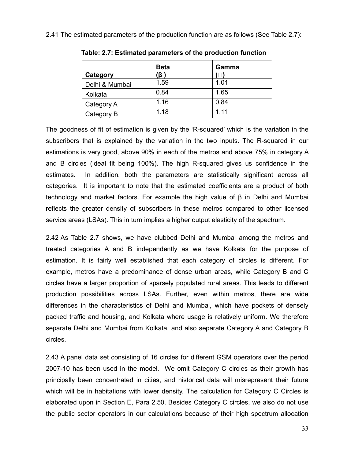2.41 The estimated parameters of the production function are as follows (See Table 2.7):

| Category       | <b>Beta</b><br>ß | Gamma |
|----------------|------------------|-------|
| Delhi & Mumbai | 1.59             | 1.01  |
| Kolkata        | 0.84             | 1.65  |
| Category A     | 1.16             | 0.84  |
| Category B     | 1.18             | 1.11  |

**Table: 2.7: Estimated parameters of the production function**

The goodness of fit of estimation is given by the 'R-squared' which is the variation in the subscribers that is explained by the variation in the two inputs. The R-squared in our estimations is very good, above 90% in each of the metros and above 75% in category A and B circles (ideal fit being 100%). The high R-squared gives us confidence in the estimates. In addition, both the parameters are statistically significant across all categories. It is important to note that the estimated coefficients are a product of both technology and market factors. For example the high value of β in Delhi and Mumbai reflects the greater density of subscribers in these metros compared to other licensed service areas (LSAs). This in turn implies a higher output elasticity of the spectrum.

2.42 As Table 2.7 shows, we have clubbed Delhi and Mumbai among the metros and treated categories A and B independently as we have Kolkata for the purpose of estimation. It is fairly well established that each category of circles is different. For example, metros have a predominance of dense urban areas, while Category B and C circles have a larger proportion of sparsely populated rural areas. This leads to different production possibilities across LSAs. Further, even within metros, there are wide differences in the characteristics of Delhi and Mumbai, which have pockets of densely packed traffic and housing, and Kolkata where usage is relatively uniform. We therefore separate Delhi and Mumbai from Kolkata, and also separate Category A and Category B circles.

2.43 A panel data set consisting of 16 circles for different GSM operators over the period 2007-10 has been used in the model. We omit Category C circles as their growth has principally been concentrated in cities, and historical data will misrepresent their future which will be in habitations with lower density. The calculation for Category C Circles is elaborated upon in Section E, Para 2.50. Besides Category C circles, we also do not use the public sector operators in our calculations because of their high spectrum allocation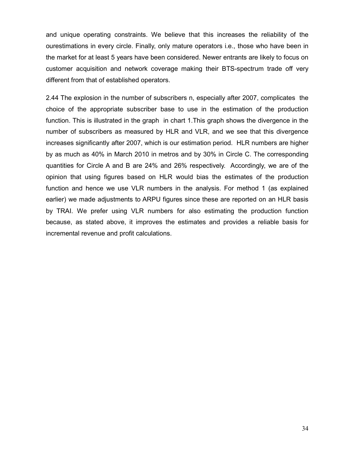and unique operating constraints. We believe that this increases the reliability of the ourestimations in every circle. Finally, only mature operators i.e., those who have been in the market for at least 5 years have been considered. Newer entrants are likely to focus on customer acquisition and network coverage making their BTS-spectrum trade off very different from that of established operators.

2.44 The explosion in the number of subscribers n, especially after 2007, complicates the choice of the appropriate subscriber base to use in the estimation of the production function. This is illustrated in the graph in chart 1.This graph shows the divergence in the number of subscribers as measured by HLR and VLR, and we see that this divergence increases significantly after 2007, which is our estimation period. HLR numbers are higher by as much as 40% in March 2010 in metros and by 30% in Circle C. The corresponding quantities for Circle A and B are 24% and 26% respectively. Accordingly, we are of the opinion that using figures based on HLR would bias the estimates of the production function and hence we use VLR numbers in the analysis. For method 1 (as explained earlier) we made adjustments to ARPU figures since these are reported on an HLR basis by TRAI. We prefer using VLR numbers for also estimating the production function because, as stated above, it improves the estimates and provides a reliable basis for incremental revenue and profit calculations.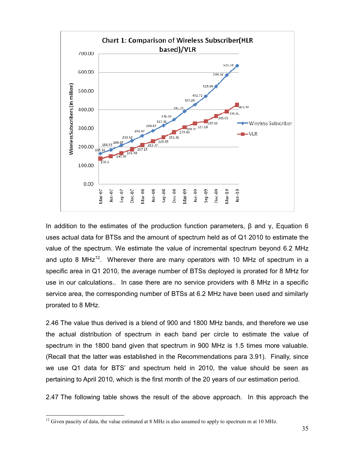

In addition to the estimates of the production function parameters,  $β$  and  $γ$ , Equation 6 uses actual data for BTSs and the amount of spectrum held as of Q1 2010 to estimate the value of the spectrum. We estimate the value of incremental spectrum beyond 6.2 MHz and upto 8 MHz<sup>12</sup>. Wherever there are many operators with 10 MHz of spectrum in a specific area in Q1 2010, the average number of BTSs deployed is prorated for 8 MHz for use in our calculations.. In case there are no service providers with 8 MHz in a specific service area, the corresponding number of BTSs at 6.2 MHz have been used and similarly prorated to 8 MHz.

2.46 The value thus derived is a blend of 900 and 1800 MHz bands, and therefore we use the actual distribution of spectrum in each band per circle to estimate the value of spectrum in the 1800 band given that spectrum in 900 MHz is 1.5 times more valuable. (Recall that the latter was established in the Recommendations para 3.91). Finally, since we use Q1 data for BTS' and spectrum held in 2010, the value should be seen as pertaining to April 2010, which is the first month of the 20 years of our estimation period.

2.47 The following table shows the result of the above approach. In this approach the

 $\ddot{\phantom{a}}$  $12$  Given paucity of data, the value estimated at 8 MHz is also assumed to apply to spectrum m at 10 MHz.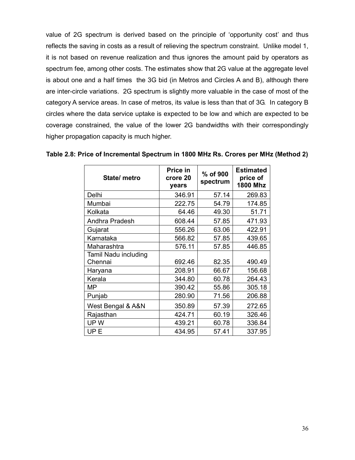value of 2G spectrum is derived based on the principle of 'opportunity cost' and thus reflects the saving in costs as a result of relieving the spectrum constraint. Unlike model 1, it is not based on revenue realization and thus ignores the amount paid by operators as spectrum fee, among other costs. The estimates show that 2G value at the aggregate level is about one and a half times the 3G bid (in Metros and Circles A and B), although there are inter-circle variations. 2G spectrum is slightly more valuable in the case of most of the category A service areas. In case of metros, its value is less than that of 3G. In category B circles where the data service uptake is expected to be low and which are expected to be coverage constrained, the value of the lower 2G bandwidths with their correspondingly higher propagation capacity is much higher.

| State/ metro         | Price in<br>crore 20<br>years | % of 900<br>spectrum | <b>Estimated</b><br>price of<br><b>1800 Mhz</b> |
|----------------------|-------------------------------|----------------------|-------------------------------------------------|
| Delhi                | 346.91                        | 57.14                | 269.83                                          |
| Mumbai               | 222.75                        | 54.79                | 174.85                                          |
| Kolkata              | 64.46                         | 49.30                | 51.71                                           |
| Andhra Pradesh       | 608.44                        | 57.85                | 471.93                                          |
| Gujarat              | 556.26                        | 63.06                | 422.91                                          |
| Karnataka            | 566.82                        | 57.85                | 439.65                                          |
| Maharashtra          | 576.11                        | 57.85                | 446.85                                          |
| Tamil Nadu including |                               |                      |                                                 |
| Chennai              | 692.46                        | 82.35                | 490.49                                          |
| Haryana              | 208.91                        | 66.67                | 156.68                                          |
| Kerala               | 344.80                        | 60.78                | 264.43                                          |
| ΜP                   | 390.42                        | 55.86                | 305.18                                          |
| Punjab               | 280.90                        | 71.56                | 206.88                                          |
| West Bengal & A&N    | 350.89                        | 57.39                | 272.65                                          |
| Rajasthan            | 424.71                        | 60.19                | 326.46                                          |
| UPW                  | 439.21                        | 60.78                | 336.84                                          |
| UP E                 | 434.95                        | 57.41                | 337.95                                          |

**Table 2.8: Price of Incremental Spectrum in 1800 MHz Rs. Crores per MHz (Method 2)**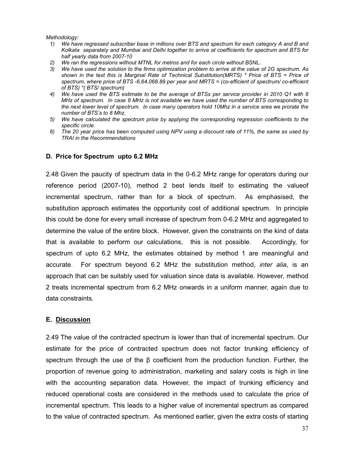*Methodology:* 

- *1) We have regressed subscriber base in millions over BTS and spectrum for each category A and B and Kolkata separately and Mumbai and Delhi together to arrive at coefficients for spectrum and BTS for half yearly data from 2007-10*
- *2) We ran the regressions without MTNL for metros and for each circle without BSNL.*
- *3) We have used the solution to the firms optimization problem to arrive at the value of 2G spectrum. As shown in the text this is Marginal Rate of Technical Substitution(MRTS) \* Price of BTS = Price of spectrum, where price of BTS -6,64,068.89 per year and MRTS = (co-efficient of spectrum/ co-efficient of BTS) \*( BTS/ spectrum)*
- *4) We have used the BTS estimate to be the average of BTSs per service provider in 2010 Q1 with 8 MHz of spectrum. In case 8 MHz is not available we have used the number of BTS corresponding to the next lower level of spectrum. In case many operators hold 10Mhz in a service area we prorate the number of BTS's to 8 Mhz.*
- *5) We have calculated the spectrum price by applying the corresponding regression coefficients to the specific circle.*
- *6) The 20 year price has been computed using NPV using a discount rate of 11%, the same as used by TRAI in the Recommendations*

## **D. Price for Spectrum upto 6.2 MHz**

2.48 Given the paucity of spectrum data in the 0-6.2 MHz range for operators during our reference period (2007-10), method 2 best lends itself to estimating the valueof incremental spectrum, rather than for a block of spectrum. As emphasised, the substitution approach estimates the opportunity cost of additional spectrum. In principle this could be done for every small increase of spectrum from 0-6.2 MHz and aggregated to determine the value of the entire block. However, given the constraints on the kind of data that is available to perform our calculations, this is not possible. Accordingly, for spectrum of upto 6.2 MHz, the estimates obtained by method 1 are meaningful and accurate. For spectrum beyond 6.2 MHz the substitution method, *inter alia*, is an approach that can be suitably used for valuation since data is available. However, method 2 treats incremental spectrum from 6.2 MHz onwards in a uniform manner, again due to data constraints.

## **E. Discussion**

2.49 The value of the contracted spectrum is lower than that of incremental spectrum. Our estimate for the price of contracted spectrum does not factor trunking efficiency of spectrum through the use of the  $\beta$  coefficient from the production function. Further, the proportion of revenue going to administration, marketing and salary costs is high in line with the accounting separation data. However, the impact of trunking efficiency and reduced operational costs are considered in the methods used to calculate the price of incremental spectrum. This leads to a higher value of incremental spectrum as compared to the value of contracted spectrum. As mentioned earlier, given the extra costs of starting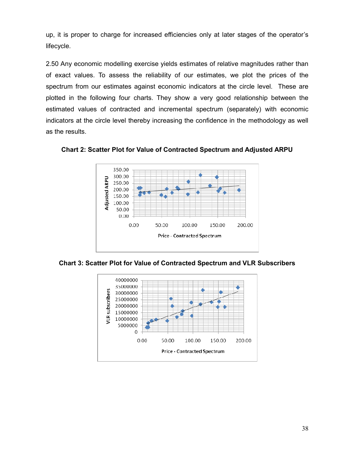up, it is proper to charge for increased efficiencies only at later stages of the operator's lifecycle.

2.50 Any economic modelling exercise yields estimates of relative magnitudes rather than of exact values. To assess the reliability of our estimates, we plot the prices of the spectrum from our estimates against economic indicators at the circle level. These are plotted in the following four charts. They show a very good relationship between the estimated values of contracted and incremental spectrum (separately) with economic indicators at the circle level thereby increasing the confidence in the methodology as well as the results.



**Chart 2: Scatter Plot for Value of Contracted Spectrum and Adjusted ARPU** 

**Chart 3: Scatter Plot for Value of Contracted Spectrum and VLR Subscribers** 

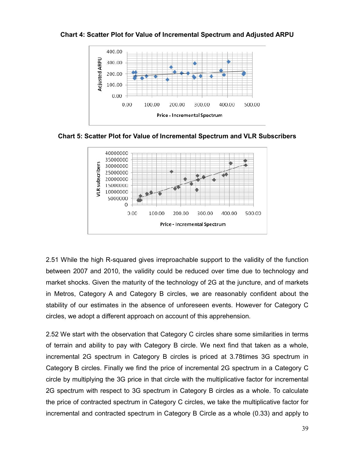

**Chart 4: Scatter Plot for Value of Incremental Spectrum and Adjusted ARPU** 





2.51 While the high R-squared gives irreproachable support to the validity of the function between 2007 and 2010, the validity could be reduced over time due to technology and market shocks. Given the maturity of the technology of 2G at the juncture, and of markets in Metros, Category A and Category B circles, we are reasonably confident about the stability of our estimates in the absence of unforeseen events. However for Category C circles, we adopt a different approach on account of this apprehension.

2.52 We start with the observation that Category C circles share some similarities in terms of terrain and ability to pay with Category B circle. We next find that taken as a whole, incremental 2G spectrum in Category B circles is priced at 3.78times 3G spectrum in Category B circles. Finally we find the price of incremental 2G spectrum in a Category C circle by multiplying the 3G price in that circle with the multiplicative factor for incremental 2G spectrum with respect to 3G spectrum in Category B circles as a whole. To calculate the price of contracted spectrum in Category C circles, we take the multiplicative factor for incremental and contracted spectrum in Category B Circle as a whole (0.33) and apply to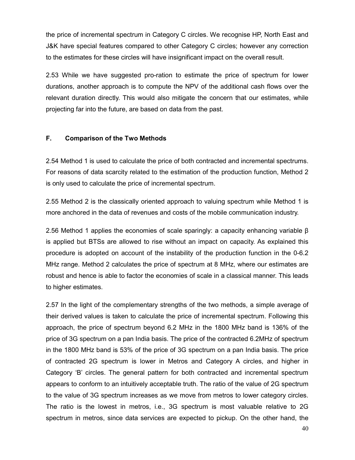the price of incremental spectrum in Category C circles. We recognise HP, North East and J&K have special features compared to other Category C circles; however any correction to the estimates for these circles will have insignificant impact on the overall result.

2.53 While we have suggested pro-ration to estimate the price of spectrum for lower durations, another approach is to compute the NPV of the additional cash flows over the relevant duration directly. This would also mitigate the concern that our estimates, while projecting far into the future, are based on data from the past.

## **F. Comparison of the Two Methods**

2.54 Method 1 is used to calculate the price of both contracted and incremental spectrums. For reasons of data scarcity related to the estimation of the production function, Method 2 is only used to calculate the price of incremental spectrum.

2.55 Method 2 is the classically oriented approach to valuing spectrum while Method 1 is more anchored in the data of revenues and costs of the mobile communication industry.

2.56 Method 1 applies the economies of scale sparingly: a capacity enhancing variable β is applied but BTSs are allowed to rise without an impact on capacity. As explained this procedure is adopted on account of the instability of the production function in the 0-6.2 MHz range. Method 2 calculates the price of spectrum at 8 MHz, where our estimates are robust and hence is able to factor the economies of scale in a classical manner. This leads to higher estimates.

2.57 In the light of the complementary strengths of the two methods, a simple average of their derived values is taken to calculate the price of incremental spectrum. Following this approach, the price of spectrum beyond 6.2 MHz in the 1800 MHz band is 136% of the price of 3G spectrum on a pan India basis. The price of the contracted 6.2MHz of spectrum in the 1800 MHz band is 53% of the price of 3G spectrum on a pan India basis. The price of contracted 2G spectrum is lower in Metros and Category A circles, and higher in Category 'B' circles. The general pattern for both contracted and incremental spectrum appears to conform to an intuitively acceptable truth. The ratio of the value of 2G spectrum to the value of 3G spectrum increases as we move from metros to lower category circles. The ratio is the lowest in metros, i.e., 3G spectrum is most valuable relative to 2G spectrum in metros, since data services are expected to pickup. On the other hand, the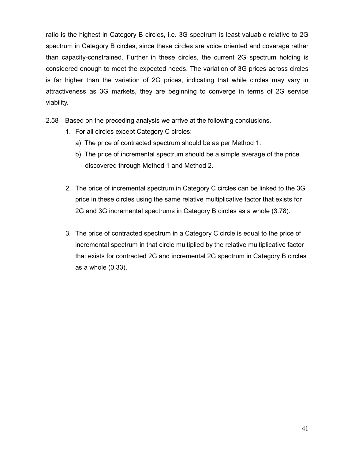ratio is the highest in Category B circles, i.e. 3G spectrum is least valuable relative to 2G spectrum in Category B circles, since these circles are voice oriented and coverage rather than capacity-constrained. Further in these circles, the current 2G spectrum holding is considered enough to meet the expected needs. The variation of 3G prices across circles is far higher than the variation of 2G prices, indicating that while circles may vary in attractiveness as 3G markets, they are beginning to converge in terms of 2G service viability.

- 2.58 Based on the preceding analysis we arrive at the following conclusions.
	- 1. For all circles except Category C circles:
		- a) The price of contracted spectrum should be as per Method 1.
		- b) The price of incremental spectrum should be a simple average of the price discovered through Method 1 and Method 2.
	- 2. The price of incremental spectrum in Category C circles can be linked to the 3G price in these circles using the same relative multiplicative factor that exists for 2G and 3G incremental spectrums in Category B circles as a whole (3.78).
	- 3. The price of contracted spectrum in a Category C circle is equal to the price of incremental spectrum in that circle multiplied by the relative multiplicative factor that exists for contracted 2G and incremental 2G spectrum in Category B circles as a whole (0.33).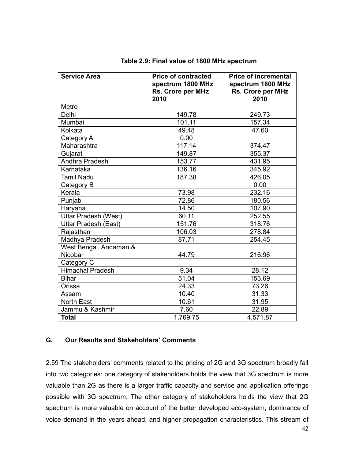| <b>Service Area</b>         | <b>Price of contracted</b><br>spectrum 1800 MHz<br><b>Rs. Crore per MHz</b><br>2010 | <b>Price of incremental</b><br>spectrum 1800 MHz<br><b>Rs. Crore per MHz</b><br>2010 |
|-----------------------------|-------------------------------------------------------------------------------------|--------------------------------------------------------------------------------------|
| Metro                       |                                                                                     |                                                                                      |
| Delhi                       | 149.78                                                                              | 249.73                                                                               |
| Mumbai                      | 101.11                                                                              | 157.34                                                                               |
| Kolkata                     | 49.48                                                                               | 47.60                                                                                |
| Category A                  | 0.00                                                                                |                                                                                      |
| Maharashtra                 | 117.14                                                                              | 374.47                                                                               |
| Gujarat                     | 149.87                                                                              | 355.37                                                                               |
| Andhra Pradesh              | 153.77                                                                              | 431.95                                                                               |
| Karnataka                   | 136.16                                                                              | 345.92                                                                               |
| <b>Tamil Nadu</b>           | 187.38                                                                              | 426.05                                                                               |
| Category B                  |                                                                                     | 0.00                                                                                 |
| Kerala                      | 73.98                                                                               | 232.16                                                                               |
| Punjab                      | 72.86                                                                               | 180.56                                                                               |
| Haryana                     | 14.50                                                                               | 107.90                                                                               |
| Uttar Pradesh (West)        | 60.11                                                                               | 252.55                                                                               |
| <b>Uttar Pradesh (East)</b> | 151.76                                                                              | 318.76                                                                               |
| Rajasthan                   | 106.03                                                                              | 278.84                                                                               |
| Madhya Pradesh              | 87.71                                                                               | 254.45                                                                               |
| West Bengal, Andaman &      |                                                                                     |                                                                                      |
| Nicobar                     | 44.79                                                                               | 216.96                                                                               |
| Category C                  |                                                                                     |                                                                                      |
| <b>Himachal Pradesh</b>     | 9.34                                                                                | 28.12                                                                                |
| <b>Bihar</b>                | 51.04                                                                               | 153.69                                                                               |
| Orissa                      | 24.33                                                                               | 73.26                                                                                |
| Assam                       | 10.40                                                                               | 31.33                                                                                |
| North East                  | 10.61                                                                               | 31.95                                                                                |
| Jammu & Kashmir             | 7.60                                                                                | 22.89                                                                                |
| <b>Total</b>                | 1,769.75                                                                            | 4,571.87                                                                             |

## **Table 2.9: Final value of 1800 MHz spectrum**

# **G. Our Results and Stakeholders' Comments**

2.59 The stakeholders' comments related to the pricing of 2G and 3G spectrum broadly fall into two categories: one category of stakeholders holds the view that 3G spectrum is more valuable than 2G as there is a larger traffic capacity and service and application offerings possible with 3G spectrum. The other category of stakeholders holds the view that 2G spectrum is more valuable on account of the better developed eco-system, dominance of voice demand in the years ahead, and higher propagation characteristics. This stream of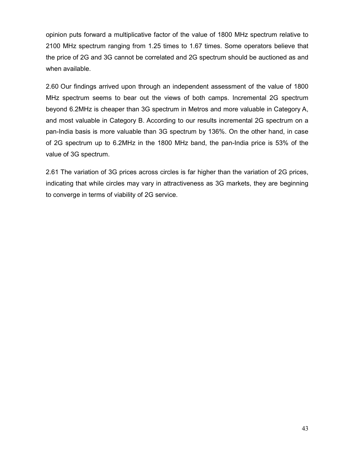opinion puts forward a multiplicative factor of the value of 1800 MHz spectrum relative to 2100 MHz spectrum ranging from 1.25 times to 1.67 times. Some operators believe that the price of 2G and 3G cannot be correlated and 2G spectrum should be auctioned as and when available.

2.60 Our findings arrived upon through an independent assessment of the value of 1800 MHz spectrum seems to bear out the views of both camps. Incremental 2G spectrum beyond 6.2MHz is cheaper than 3G spectrum in Metros and more valuable in Category A, and most valuable in Category B. According to our results incremental 2G spectrum on a pan-India basis is more valuable than 3G spectrum by 136%. On the other hand, in case of 2G spectrum up to 6.2MHz in the 1800 MHz band, the pan-India price is 53% of the value of 3G spectrum.

2.61 The variation of 3G prices across circles is far higher than the variation of 2G prices, indicating that while circles may vary in attractiveness as 3G markets, they are beginning to converge in terms of viability of 2G service.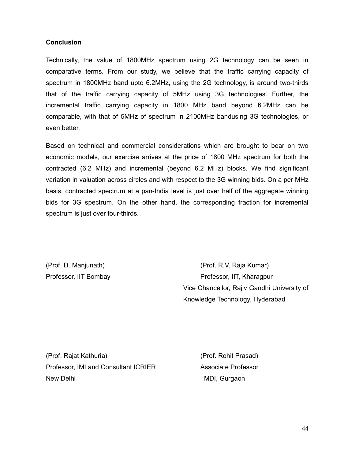#### **Conclusion**

Technically, the value of 1800MHz spectrum using 2G technology can be seen in comparative terms. From our study, we believe that the traffic carrying capacity of spectrum in 1800MHz band upto 6.2MHz, using the 2G technology, is around two-thirds that of the traffic carrying capacity of 5MHz using 3G technologies. Further, the incremental traffic carrying capacity in 1800 MHz band beyond 6.2MHz can be comparable, with that of 5MHz of spectrum in 2100MHz bandusing 3G technologies, or even better.

Based on technical and commercial considerations which are brought to bear on two economic models, our exercise arrives at the price of 1800 MHz spectrum for both the contracted (6.2 MHz) and incremental (beyond 6.2 MHz) blocks. We find significant variation in valuation across circles and with respect to the 3G winning bids. On a per MHz basis, contracted spectrum at a pan-India level is just over half of the aggregate winning bids for 3G spectrum. On the other hand, the corresponding fraction for incremental spectrum is just over four-thirds.

(Prof. D. Manjunath) (Prof. R.V. Raja Kumar) Professor, IIT Bombay Professor, IIT, Kharagpur Vice Chancellor, Rajiv Gandhi University of Knowledge Technology, Hyderabad

(Prof. Rajat Kathuria) (Prof. Rohit Prasad) Professor, IMI and Consultant ICRIER Associate Professor New Delhi MDI, Gurgaon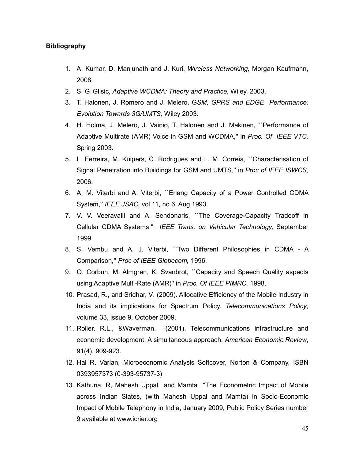## **Bibliography**

- 1. A. Kumar, D. Manjunath and J. Kuri, *Wireless Networking,* Morgan Kaufmann, 2008.
- 2. S. G. Glisic, *Adaptive WCDMA: Theory and Practice,* Wiley, 2003.
- 3. T. Halonen, J. Romero and J. Melero, G*SM, GPRS and EDGE Performance: Evolution Towards 3G/UMTS,* Wiley 2003.
- 4. H. Holma, J. Melero, J. Vainio, T. Halonen and J. Makinen, ``Performance of Adaptive Multirate (AMR) Voice in GSM and WCDMA,'' in *Proc. Of IEEE VTC,*  Spring 2003.
- 5. L. Ferreira, M. Kuipers, C. Rodrigues and L. M. Correia, ``Characterisation of Signal Penetration into Buildings for GSM and UMTS,'' in *Proc of IEEE ISWCS*, 2006.
- 6. A. M. Viterbi and A. Viterbi, ``Erlang Capacity of a Power Controlled CDMA System,'' *IEEE JSAC,* vol 11, no 6, Aug 1993.
- 7. V. V. Veeravalli and A. Sendonaris, ``The Coverage-Capacity Tradeoff in Cellular CDMA Systems,'' *IEEE Trans. on Vehicular Technology,* September 1999.
- 8. S. Vembu and A. J. Viterbi, ``Two Different Philosophies in CDMA A Comparison,'' *Proc of IEEE Globecom,* 1996.
- 9. O. Corbun, M. Almgren, K. Svanbrot, ``Capacity and Speech Quality aspects using Adaptive Multi-Rate (AMR)'' in *Proc. Of IEEE PIMRC,* 1998.
- 10. Prasad, R., and Sridhar, V. (2009). Allocative Efficiency of the Mobile Industry in India and its implications for Spectrum Policy. *Telecommunications Policy*, volume 33, issue 9, October 2009.
- 11. Roller, R.L., &Waverman. (2001). Telecommunications infrastructure and economic development: A simultaneous approach. *American Economic Review*, 91(4), 909-923.
- 12. Hal R. Varian, Microeconomic Analysis Softcover, Norton & Company, ISBN 0393957373 (0-393-95737-3)
- 13. Kathuria, R, Mahesh Uppal and Mamta "The Econometric Impact of Mobile across Indian States, (with Mahesh Uppal and Mamta) in Socio-Economic Impact of Mobile Telephony in India, January 2009, Public Policy Series number 9 available at www.icrier.org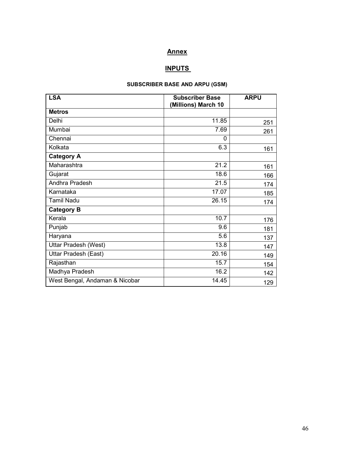# **Annex**

# **INPUTS**

# **SUBSCRIBER BASE AND ARPU (GSM)**

| <b>LSA</b>                     | <b>Subscriber Base</b><br>Millions) March 10 | <b>ARPU</b> |
|--------------------------------|----------------------------------------------|-------------|
| <b>Metros</b>                  |                                              |             |
| Delhi                          | 11.85                                        | 251         |
| Mumbai                         | 7.69                                         | 261         |
| Chennai                        | 0                                            |             |
| Kolkata                        | 6.3                                          | 161         |
| <b>Category A</b>              |                                              |             |
| Maharashtra                    | 21.2                                         | 161         |
| Gujarat                        | 18.6                                         | 166         |
| Andhra Pradesh                 | 21.5                                         | 174         |
| Karnataka                      | 17.07                                        | 185         |
| <b>Tamil Nadu</b>              | 26.15                                        | 174         |
| <b>Category B</b>              |                                              |             |
| Kerala                         | 10.7                                         | 176         |
| Punjab                         | 9.6                                          | 181         |
| Haryana                        | 5.6                                          | 137         |
| Uttar Pradesh (West)           | 13.8                                         | 147         |
| Uttar Pradesh (East)           | 20.16                                        | 149         |
| Rajasthan                      | 15.7                                         | 154         |
| Madhya Pradesh                 | 16.2                                         | 142         |
| West Bengal, Andaman & Nicobar | 14.45                                        | 129         |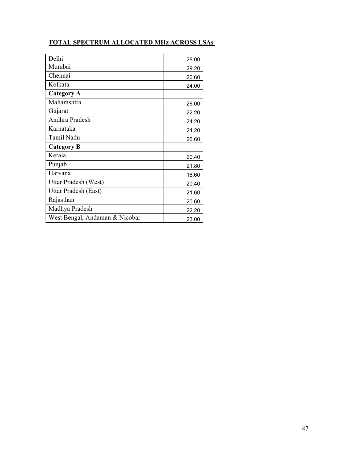# **TOTAL SPECTRUM ALLOCATED MHz ACROSS LSAs**

| Delhi                          | 28.00 |
|--------------------------------|-------|
| Mumbai                         | 29.20 |
| Chennai                        | 26.60 |
| Kolkata                        | 24.00 |
| <b>Category A</b>              |       |
| Maharashtra                    | 26.00 |
| Gujarat                        | 22.20 |
| Andhra Pradesh                 | 24.20 |
| Karnataka                      | 24.20 |
| Tamil Nadu                     | 26.60 |
| <b>Category B</b>              |       |
| Kerala                         | 20.40 |
| Punjab                         | 21.80 |
| Haryana                        | 18.60 |
| Uttar Pradesh (West)           | 20.40 |
| Uttar Pradesh (East)           | 21.60 |
| Rajasthan                      | 20.60 |
| Madhya Pradesh                 | 22.20 |
| West Bengal, Andaman & Nicobar | 23.00 |